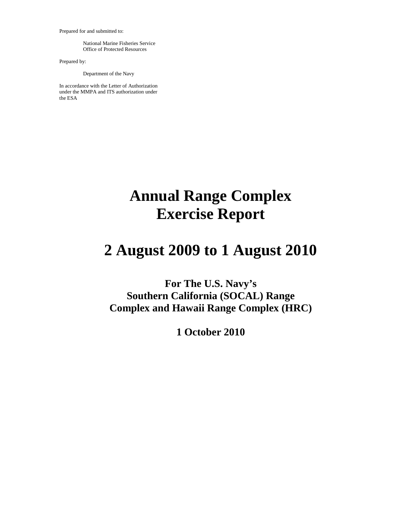Prepared for and submitted to:

National Marine Fisheries Service Office of Protected Resources

Prepared by:

Department of the Navy

In accordance with the Letter of Authorization under the MMPA and ITS authorization under the ESA

# **Annual Range Complex Exercise Report**

# **2 August 2009 to 1 August 2010**

**For The U.S. Navy's Southern California (SOCAL) Range Complex and Hawaii Range Complex (HRC)**

**1 October 2010**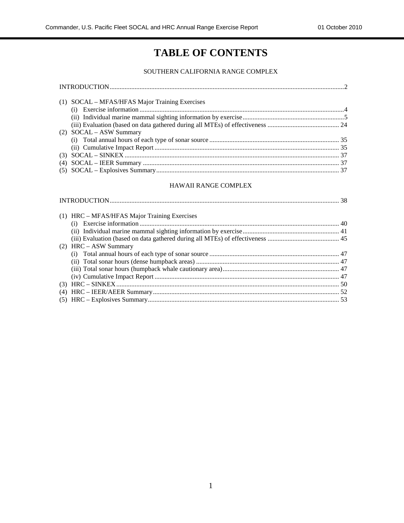## **TABLE OF CONTENTS**

#### SOUTHERN CALIFORNIA RANGE COMPLEX

| (1) SOCAL – MFAS/HFAS Major Training Exercises |  |
|------------------------------------------------|--|
|                                                |  |
|                                                |  |
|                                                |  |
| $(2)$ SOCAL – ASW Summary                      |  |
|                                                |  |
|                                                |  |
|                                                |  |
|                                                |  |
|                                                |  |

#### HAWAII RANGE COMPLEX

| (1) HRC – MFAS/HFAS Major Training Exercises |  |
|----------------------------------------------|--|
|                                              |  |
|                                              |  |
|                                              |  |
| $(2)$ HRC – ASW Summary                      |  |
|                                              |  |
|                                              |  |
|                                              |  |
|                                              |  |
|                                              |  |
|                                              |  |
|                                              |  |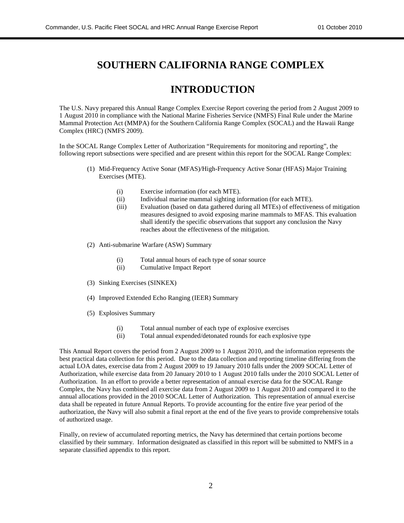### **SOUTHERN CALIFORNIA RANGE COMPLEX**

### **INTRODUCTION**

The U.S. Navy prepared this Annual Range Complex Exercise Report covering the period from 2 August 2009 to 1 August 2010 in compliance with the National Marine Fisheries Service (NMFS) Final Rule under the Marine Mammal Protection Act (MMPA) for the Southern California Range Complex (SOCAL) and the Hawaii Range Complex (HRC) (NMFS 2009).

In the SOCAL Range Complex Letter of Authorization "Requirements for monitoring and reporting", the following report subsections were specified and are present within this report for the SOCAL Range Complex:

- (1) Mid-Frequency Active Sonar (MFAS)/High-Frequency Active Sonar (HFAS) Major Training Exercises (MTE).
	- (i) Exercise information (for each MTE).
	- (ii) Individual marine mammal sighting information (for each MTE).
	- (iii) Evaluation (based on data gathered during all MTEs) of effectiveness of mitigation measures designed to avoid exposing marine mammals to MFAS. This evaluation shall identify the specific observations that support any conclusion the Navy reaches about the effectiveness of the mitigation.
- (2) Anti-submarine Warfare (ASW) Summary
	- (i) Total annual hours of each type of sonar source
	- (ii) Cumulative Impact Report
- (3) Sinking Exercises (SINKEX)
- (4) Improved Extended Echo Ranging (IEER) Summary
- (5) Explosives Summary
	- (i) Total annual number of each type of explosive exercises
	- (ii) Total annual expended/detonated rounds for each explosive type

This Annual Report covers the period from 2 August 2009 to 1 August 2010, and the information represents the best practical data collection for this period. Due to the data collection and reporting timeline differing from the actual LOA dates, exercise data from 2 August 2009 to 19 January 2010 falls under the 2009 SOCAL Letter of Authorization, while exercise data from 20 January 2010 to 1 August 2010 falls under the 2010 SOCAL Letter of Authorization. In an effort to provide a better representation of annual exercise data for the SOCAL Range Complex, the Navy has combined all exercise data from 2 August 2009 to 1 August 2010 and compared it to the annual allocations provided in the 2010 SOCAL Letter of Authorization. This representation of annual exercise data shall be repeated in future Annual Reports. To provide accounting for the entire five year period of the authorization, the Navy will also submit a final report at the end of the five years to provide comprehensive totals of authorized usage.

Finally, on review of accumulated reporting metrics, the Navy has determined that certain portions become classified by their summary. Information designated as classified in this report will be submitted to NMFS in a separate classified appendix to this report.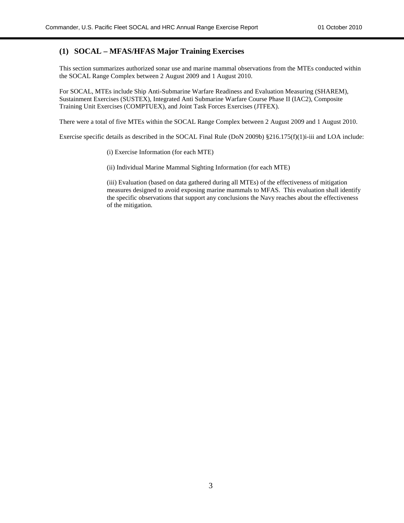#### **(1) SOCAL – MFAS/HFAS Major Training Exercises**

This section summarizes authorized sonar use and marine mammal observations from the MTEs conducted within the SOCAL Range Complex between 2 August 2009 and 1 August 2010.

For SOCAL, MTEs include Ship Anti-Submarine Warfare Readiness and Evaluation Measuring (SHAREM), Sustainment Exercises (SUSTEX), Integrated Anti Submarine Warfare Course Phase II (IAC2), Composite Training Unit Exercises (COMPTUEX), and Joint Task Forces Exercises (JTFEX).

There were a total of five MTEs within the SOCAL Range Complex between 2 August 2009 and 1 August 2010.

Exercise specific details as described in the SOCAL Final Rule (DoN 2009b) §216.175(f)(1)i-iii and LOA include:

(i) Exercise Information (for each MTE)

(ii) Individual Marine Mammal Sighting Information (for each MTE)

(iii) Evaluation (based on data gathered during all MTEs) of the effectiveness of mitigation measures designed to avoid exposing marine mammals to MFAS. This evaluation shall identify the specific observations that support any conclusions the Navy reaches about the effectiveness of the mitigation.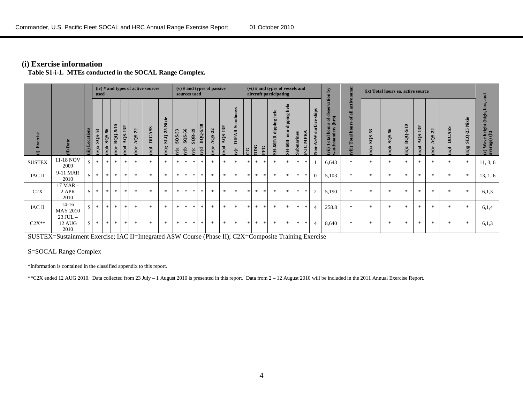#### **(i) Exercise information**

**Table S1-i-1. MTEs conducted in the SOCAL Range Complex.**

|                                |                                |                          | used            |                       |                   |                     |                | $(iv)$ # and types of active sources |                                               |               |                            | sources used                 |                                      | $(v)$ # and types of passive |                       |                                                      |               |            |     | $(vi)$ # and types of vessels and<br>aircraft participating |                                            |                |                |                                                      | $\overline{\mathbf{A}}$<br>ation                                                      | sonar                                                        |                    | (ix) Total hours ea. active source |                  |                   |                   |                                   |                                               | 힣                                       |
|--------------------------------|--------------------------------|--------------------------|-----------------|-----------------------|-------------------|---------------------|----------------|--------------------------------------|-----------------------------------------------|---------------|----------------------------|------------------------------|--------------------------------------|------------------------------|-----------------------|------------------------------------------------------|---------------|------------|-----|-------------------------------------------------------------|--------------------------------------------|----------------|----------------|------------------------------------------------------|---------------------------------------------------------------------------------------|--------------------------------------------------------------|--------------------|------------------------------------|------------------|-------------------|-------------------|-----------------------------------|-----------------------------------------------|-----------------------------------------|
| rcise<br>Exer<br>$\widehat{z}$ | (ii) Date                      | ocations<br>$\mathbf{m}$ | SQS-53<br>(iv)a | $-56$<br>SQS.<br>d(v) | BQQ-5/10<br>(iv)c | $A$ QS-13F<br>(iv)d | AQS-22<br>iv)e | <b>DICASS</b><br><b>Ivit</b>         | Nixie<br>$SLQ-25$<br>$\mathbf{g}(\mathbf{A})$ | SQS-53<br>v)a | SQS-56<br>$\sum_{k=1}^{n}$ | $SQR-19$<br>$\sum_{i=1}^{n}$ | BQQ-5/10<br>$\mathbf{p}(\mathbf{v})$ | AQS-22<br>iv)e               | $AQS-13F$<br>$(iv)$ d | uoys<br>Ō<br><b>DIFAR</b><br>$\mathbf{v})\mathbf{e}$ | g             | <b>DDG</b> | FFG | helo<br>dipping l<br><b>SH-60F/R</b>                        | helo<br>dipping<br>$n$ on<br><b>SH-60B</b> | arines<br>Subm | MPRA<br>$P-3C$ | ships<br>ee<br>sur<br>ASW<br>$\overline{\text{ion}}$ | <b>CD</b><br>$\frac{1}{2}$<br>hours of o<br>ders (hrs)<br>(vii) Total l<br>watchstand | active<br>$\overline{a}$<br>ď<br><b>Total hours</b><br>viii) | 53<br>SQS-<br>f(x) | SQS-56<br>d(xi)                    | BQQ-5/10<br>ix)c | $AQS-13F$<br>b(x) | AQS-22<br>$ix$ )e | <b>DICASS</b><br>$f(x)$           | Nixie<br>$SLQ-25$<br>$\mathbf{g}(\mathbf{x})$ | (x) Wave height (high,<br>average) (ft) |
| <b>SUSTEX</b>                  | 11-18 NOV<br>2009              | <sub>S</sub>             | $\gg$           | $\mathcal{R}$         | $\mathbf{R}$      | $\gg$               | $\star$        | $\frac{1}{2}$                        | $\pm$                                         | $\gg$         | $\pm$                      | $\ast$                       | $\star$                              | $\mathcal{R}$                | $\ast$                | $\gg$                                                | the c         | $\ast$     | *   | $\frac{1}{2}$                                               | *                                          | $\ast$         | $\gg$          |                                                      | 6,643                                                                                 | $*$                                                          | $\frac{1}{2}$      | $\mathcal{H}$                      | $\mathcal{H}$    | $*$               | $\star$           | *                                 | -de                                           | 11, 3, 6                                |
| IAC II                         | 9-11 MAR<br>2010               | <sub>S</sub>             | $\gg$           | $\ast$                | $\frac{1}{2}$     | $\mathcal{H}$       | $\star$        | $\frac{1}{2}$                        | $\ast$                                        | 宋             | $*$                        | $*$                          | $*$                                  | 宋                            | $*$                   | $\ast$                                               | $\gg$         | $\ast$     | $*$ | $*$                                                         | $*$                                        | $\ast$         | $\ast$         | $\Omega$                                             | 5,103                                                                                 | $*$                                                          | $\frac{1}{2}$      | $\frac{1}{2\pi}$                   | $\frac{1}{2}$    | $\ast$            | $\star$           | $\frac{d\mathbf{x}}{d\mathbf{x}}$ |                                               | 13, 1, 6                                |
| C2X                            | $17$ MAR $-$<br>2 APR<br>2010  | <sub>S</sub>             | *               | $\ast$                | $*$               | $\ast$              | $\star$        | $\mathbf{R}$                         | $\ast$                                        | *             | $\star$                    | $\ast$                       | $*$                                  | 宗                            | $*$                   | $\ast$                                               | $\star$       | $\ast$     | *   | $*$                                                         | *                                          | $\ast$         | $\ast$         | 2                                                    | 5,190                                                                                 | $\mathbf{x}$                                                 | $\frac{1}{2}$      | $\mathcal{H}$                      | $\mathbf{R}$     | $\ast$            | $\mathbf{k}$      | $\frac{d\mathbf{x}}{d\mathbf{x}}$ | -de                                           | 6.1.3                                   |
| IAC II                         | $14-16$<br><b>MAY 2010</b>     | <sub>S</sub>             | $\gg$           | $\ast$                | $\mathbf{R}$      | $\mathcal{H}$       | $\star$        | $\mathbf{R}$                         | $\ast$                                        | *             | $\star$                    | $\ast$                       | $*$                                  | 宗                            | $*$                   | $\ast$                                               | $\mathcal{R}$ | $\ast$     | *   | $*$                                                         | $\frac{1}{2}$                              | $\ast$         | $\ast$         |                                                      | 258.8                                                                                 | $\ast$                                                       | $\frac{1}{2}$      | <b>sk</b>                          | $\mathbf{R}$     | $*$               | <b>Sk</b>         | $\mathcal{M}$                     |                                               | 6,1,4                                   |
| $C2X^*$                        | $23$ JUL $-$<br>12 AUG<br>2010 | <sub>S</sub>             | *               | $\star$               | $*$               | $\ast$              | 永              | $\ast$                               | $\ast$                                        | $*$           | $\ast$                     | $*$                          | *                                    | $\frac{1}{2}$                | $*$                   | $\ast$                                               | *             | $\ast$     | $*$ | $*$                                                         | $\gg$                                      | $\ast$         | $\ast$         | $\overline{4}$                                       | 8,640                                                                                 | $*$                                                          | *                  | $\ast$                             | $\ast$           | $\ast$            | $\ast$            | *                                 | - sk                                          | 6,1,3                                   |

SUSTEX=Sustainment Exercise; IAC II=Integrated ASW Course (Phase II); C2X=Composite Training Exercise

#### S=SOCAL Range Complex

\*Information is contained in the classified appendix to this report.

\*\*C2X ended 12 AUG 2010. Data collected from 23 July – 1 August 2010 is presented in this report. Data from 2 – 12 August 2010 will be included in the 2011 Annual Exercise Report.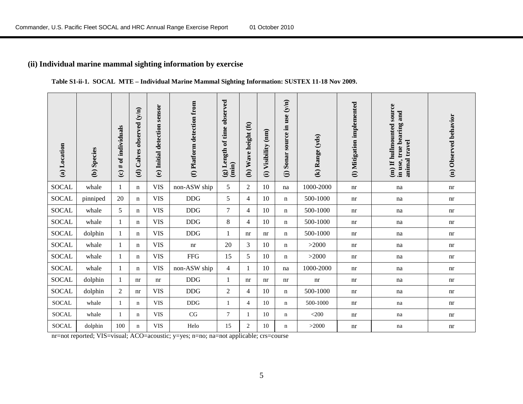#### **(ii) Individual marine mammal sighting information by exercise**

#### **Table S1-ii-1. SOCAL MTE – Individual Marine Mammal Sighting Information: SUSTEX 11-18 Nov 2009.**

| (a) Location | (b) Species | (c) $#$ of individuals | Calves observed (y/n)<br>$\widehat{\mathbf{c}}$ | sensor<br>(e) Initial detection | (f) Platform detection from | time observed<br>Length of<br>(imin)<br>$\circledast$ | Wave height (ft)<br>$\widehat{a}$ | (i) Visibility (nm) | source in use $(y/n)$<br>Sonar<br>$\widehat{\Theta}$ | (k) Range (yds) | (I) Mitigation implemented | (m) If hullmounted source<br>in use, true bearing and<br>animal travel | Observed behavior<br>$\widehat{a}$ |
|--------------|-------------|------------------------|-------------------------------------------------|---------------------------------|-----------------------------|-------------------------------------------------------|-----------------------------------|---------------------|------------------------------------------------------|-----------------|----------------------------|------------------------------------------------------------------------|------------------------------------|
| <b>SOCAL</b> | whale       |                        | n                                               | <b>VIS</b>                      | non-ASW ship                | 5                                                     | $\overline{2}$                    | 10                  | na                                                   | 1000-2000       | nr                         | na                                                                     | nr                                 |
| SOCAL        | pinniped    | 20                     | n                                               | <b>VIS</b>                      | <b>DDG</b>                  | 5                                                     | 4                                 | 10                  | n                                                    | 500-1000        | nr                         | na                                                                     | nr                                 |
| <b>SOCAL</b> | whale       | 5                      | n                                               | <b>VIS</b>                      | <b>DDG</b>                  | $\tau$                                                | 4                                 | 10                  | n                                                    | 500-1000        | nr                         | na                                                                     | nr                                 |
| <b>SOCAL</b> | whale       | -1                     | n                                               | <b>VIS</b>                      | <b>DDG</b>                  | 8                                                     | 4                                 | 10                  | $\mathbf n$                                          | 500-1000        | nr                         | na                                                                     | nr                                 |
| <b>SOCAL</b> | dolphin     | 1                      | n                                               | <b>VIS</b>                      | <b>DDG</b>                  | 1                                                     | nr                                | nr                  | $\mathbf n$                                          | 500-1000        | nr                         | na                                                                     | nr                                 |
| <b>SOCAL</b> | whale       |                        | n                                               | <b>VIS</b>                      | nr                          | 20                                                    | 3                                 | 10                  | $\mathbf n$                                          | >2000           | nr                         | na                                                                     | nr                                 |
| <b>SOCAL</b> | whale       | 1                      | n                                               | <b>VIS</b>                      | ${\rm FFG}$                 | 15                                                    | 5                                 | 10                  | n                                                    | >2000           | nr                         | na                                                                     | nr                                 |
| <b>SOCAL</b> | whale       | 1                      | n                                               | <b>VIS</b>                      | non-ASW ship                | $\overline{4}$                                        | 1                                 | 10                  | na                                                   | 1000-2000       | nr                         | na                                                                     | nr                                 |
| <b>SOCAL</b> | dolphin     | 1                      | nr                                              | nr                              | <b>DDG</b>                  | 1                                                     | nr                                | nr                  | nr                                                   | nr              | nr                         | na                                                                     | nr                                 |
| SOCAL        | dolphin     | 2                      | nr                                              | <b>VIS</b>                      | <b>DDG</b>                  | $\overline{2}$                                        | 4                                 | 10                  | n                                                    | 500-1000        | nr                         | na                                                                     | nr                                 |
| <b>SOCAL</b> | whale       |                        | n                                               | <b>VIS</b>                      | $\rm{DDG}$                  | $\mathbf{1}$                                          | $\overline{4}$                    | 10                  | $\mathbf n$                                          | 500-1000        | nr                         | na                                                                     | nr                                 |
| SOCAL        | whale       |                        | n                                               | <b>VIS</b>                      | CG                          | 7                                                     | 1                                 | 10                  | $\mathbf n$                                          | $<$ 200         | nr                         | na                                                                     | nr                                 |
| <b>SOCAL</b> | dolphin     | 100                    | $\mathbf n$                                     | <b>VIS</b>                      | Helo                        | 15                                                    | $\overline{2}$                    | 10                  | $\mathbf n$                                          | >2000           | nr                         | na                                                                     | nr                                 |

nr=not reported; VIS=visual; ACO=acoustic; y=yes; n=no; na=not applicable; crs=course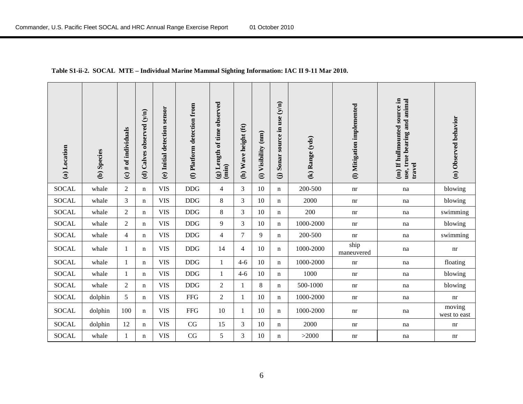#### **Table S1-ii-2. SOCAL MTE – Individual Marine Mammal Sighting Information: IAC II 9-11 Mar 2010.**

| (a) Location | (b) Species | (c) $#$ of individuals | Calves observed (y/n)<br>$\widehat{\mathbf{e}}$ | (e) Initial detection sensor | (f) Platform detection from | (g) Length of time observed<br>(imin) | (h) Wave height (ft) | (mn)<br>Visibility<br>$\widehat{E}$ | Sonar source in use (y/n)<br>$\widehat{\Theta}$ | (k) Range (yds) | (1) Mitigation implemented | (m) If hullmounted source in<br>use, true bearing and animal<br>travel | (n) Observed behavior  |
|--------------|-------------|------------------------|-------------------------------------------------|------------------------------|-----------------------------|---------------------------------------|----------------------|-------------------------------------|-------------------------------------------------|-----------------|----------------------------|------------------------------------------------------------------------|------------------------|
| <b>SOCAL</b> | whale       | $\overline{2}$         | $\mathbf n$                                     | <b>VIS</b>                   | <b>DDG</b>                  | $\overline{4}$                        | 3                    | 10                                  | $\mathbf n$                                     | 200-500         | nr                         | na                                                                     | blowing                |
| <b>SOCAL</b> | whale       | 3                      | n                                               | <b>VIS</b>                   | DDG                         | $\,8\,$                               | 3                    | 10                                  | $\mathbf n$                                     | 2000            | nr                         | na                                                                     | blowing                |
| <b>SOCAL</b> | whale       | $\overline{2}$         | n                                               | <b>VIS</b>                   | DDG                         | $\,8\,$                               | 3                    | 10                                  | n                                               | 200             | nr                         | na                                                                     | swimming               |
| <b>SOCAL</b> | whale       | $\overline{2}$         | n                                               | <b>VIS</b>                   | DDG                         | $\overline{9}$                        | 3                    | 10                                  | n                                               | 1000-2000       | nr                         | na                                                                     | blowing                |
| <b>SOCAL</b> | whale       | $\overline{4}$         | n                                               | <b>VIS</b>                   | DDG                         | $\overline{4}$                        | $\overline{7}$       | 9                                   | $\mathbf n$                                     | 200-500         | nr                         | na                                                                     | swimming               |
| <b>SOCAL</b> | whale       | 1                      | $\mathbf n$                                     | <b>VIS</b>                   | $\rm{DDG}$                  | 14                                    | $\overline{4}$       | 10                                  | $\mathbf n$                                     | 1000-2000       | ship<br>maneuvered         | na                                                                     | nr                     |
| <b>SOCAL</b> | whale       | $\mathbf{1}$           | n                                               | <b>VIS</b>                   | DDG                         | $\mathbf{1}$                          | $4 - 6$              | 10                                  | $\mathbf n$                                     | 1000-2000       | nr                         | na                                                                     | floating               |
| <b>SOCAL</b> | whale       | $\mathbf{1}$           | n                                               | <b>VIS</b>                   | <b>DDG</b>                  | $\mathbf{1}$                          | $4 - 6$              | 10                                  | n                                               | 1000            | nr                         | na                                                                     | blowing                |
| <b>SOCAL</b> | whale       | $\overline{2}$         | n                                               | <b>VIS</b>                   | <b>DDG</b>                  | $\overline{2}$                        | 1                    | 8                                   | n                                               | 500-1000        | nr                         | na                                                                     | blowing                |
| <b>SOCAL</b> | dolphin     | 5                      | n                                               | <b>VIS</b>                   | <b>FFG</b>                  | $\overline{2}$                        | $\mathbf{1}$         | 10                                  | $\mathbf n$                                     | 1000-2000       | nr                         | na                                                                     | nr                     |
| <b>SOCAL</b> | dolphin     | 100                    | $\mathbf n$                                     | <b>VIS</b>                   | <b>FFG</b>                  | 10                                    | 1                    | 10                                  | $\mathbf n$                                     | 1000-2000       | nr                         | na                                                                     | moving<br>west to east |
| <b>SOCAL</b> | dolphin     | 12                     | $\mathbf n$                                     | <b>VIS</b>                   | CG                          | 15                                    | 3                    | 10                                  | $\mathbf n$                                     | 2000            | nr                         | na                                                                     | nr                     |
| <b>SOCAL</b> | whale       |                        | n                                               | <b>VIS</b>                   | $\rm CG$                    | 5                                     | 3                    | 10                                  | $\mathbf n$                                     | >2000           | nr                         | na                                                                     | nr                     |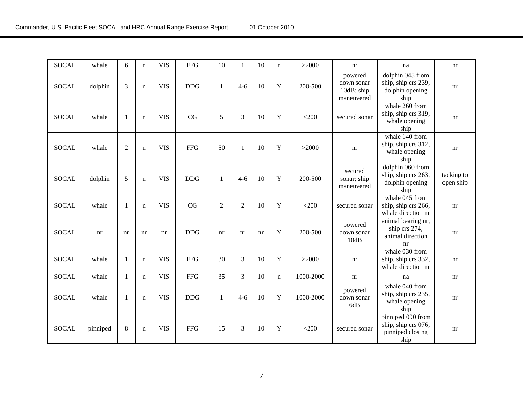| <b>SOCAL</b> | whale    | 6              | $\mathbf n$ | <b>VIS</b> | <b>FFG</b> | 10           | $\mathbf{1}$   | 10 | $\mathbf n$ | >2000     | nr                                                | na                                                                   | nr                         |
|--------------|----------|----------------|-------------|------------|------------|--------------|----------------|----|-------------|-----------|---------------------------------------------------|----------------------------------------------------------------------|----------------------------|
| <b>SOCAL</b> | dolphin  | 3              | $\mathbf n$ | <b>VIS</b> | <b>DDG</b> | $\mathbf{1}$ | $4 - 6$        | 10 | Y           | 200-500   | powered<br>down sonar<br>10dB; ship<br>maneuvered | dolphin 045 from<br>ship, ship crs 239,<br>dolphin opening<br>ship   | $\mathop{\rm nr}\nolimits$ |
| <b>SOCAL</b> | whale    | 1              | $\mathbf n$ | <b>VIS</b> | CG         | 5            | 3              | 10 | Y           | $<$ 200   | secured sonar                                     | whale 260 from<br>ship, ship crs 319,<br>whale opening<br>ship       | nr                         |
| <b>SOCAL</b> | whale    | $\overline{2}$ | $\mathbf n$ | <b>VIS</b> | <b>FFG</b> | 50           | 1              | 10 | Y           | >2000     | nr                                                | whale 140 from<br>ship, ship crs 312,<br>whale opening<br>ship       | $\mathop{\rm nr}\nolimits$ |
| <b>SOCAL</b> | dolphin  | 5              | $\mathbf n$ | <b>VIS</b> | <b>DDG</b> | $\mathbf{1}$ | $4 - 6$        | 10 | Y           | 200-500   | secured<br>sonar; ship<br>maneuvered              | dolphin 060 from<br>ship, ship crs 263,<br>dolphin opening<br>ship   | tacking to<br>open ship    |
| <b>SOCAL</b> | whale    | -1             | $\mathbf n$ | <b>VIS</b> | CG         | $\sqrt{2}$   | $\overline{c}$ | 10 | Y           | $<$ 200   | secured sonar                                     | whale 045 from<br>ship, ship crs 266,<br>whale direction nr          | nr                         |
| <b>SOCAL</b> | nr       | nr             | nr          | nr         | <b>DDG</b> | nr           | nr             | nr | Y           | 200-500   | powered<br>down sonar<br>10dB                     | animal bearing nr,<br>ship crs 274,<br>animal direction<br>nr        | $\mathop{\rm nr}\nolimits$ |
| <b>SOCAL</b> | whale    | -1             | $\mathbf n$ | <b>VIS</b> | <b>FFG</b> | 30           | 3              | 10 | Y           | >2000     | nr                                                | whale 030 from<br>ship, ship crs 332,<br>whale direction nr          | nr                         |
| <b>SOCAL</b> | whale    | $\mathbf{1}$   | $\mathbf n$ | <b>VIS</b> | <b>FFG</b> | 35           | 3              | 10 | $\mathbf n$ | 1000-2000 | nr                                                | na                                                                   | nr                         |
| <b>SOCAL</b> | whale    | $\mathbf{1}$   | $\mathbf n$ | <b>VIS</b> | <b>DDG</b> | 1            | $4 - 6$        | 10 | Y           | 1000-2000 | powered<br>down sonar<br>6dB                      | whale 040 from<br>ship, ship crs 235,<br>whale opening<br>ship       | nr                         |
| <b>SOCAL</b> | pinniped | 8              | $\mathbf n$ | <b>VIS</b> | <b>FFG</b> | 15           | 3              | 10 | Y           | $<$ 200   | secured sonar                                     | pinniped 090 from<br>ship, ship crs 076,<br>pinniped closing<br>ship | nr                         |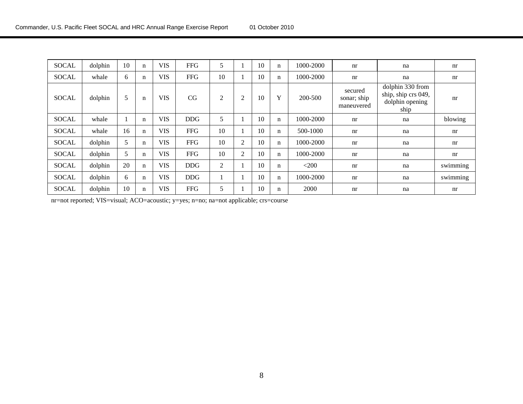| <b>SOCAL</b> | dolphin | 10 | n           | <b>VIS</b> | <b>FFG</b> | 5              |                | 10 | $\mathbf n$ | 1000-2000 | nr                                   | na                                                                 | nr       |
|--------------|---------|----|-------------|------------|------------|----------------|----------------|----|-------------|-----------|--------------------------------------|--------------------------------------------------------------------|----------|
| <b>SOCAL</b> | whale   | 6  | n           | <b>VIS</b> | <b>FFG</b> | 10             |                | 10 | $\mathbf n$ | 1000-2000 | nr                                   | na                                                                 | nr       |
| <b>SOCAL</b> | dolphin | 5  | $\mathbf n$ | <b>VIS</b> | CG         | $\overline{c}$ | 2              | 10 | Y           | 200-500   | secured<br>sonar; ship<br>maneuvered | dolphin 330 from<br>ship, ship crs 049,<br>dolphin opening<br>ship | nr       |
| <b>SOCAL</b> | whale   |    | n           | <b>VIS</b> | <b>DDG</b> | 5              |                | 10 | $\mathbf n$ | 1000-2000 | nr                                   | na                                                                 | blowing  |
| <b>SOCAL</b> | whale   | 16 | n           | <b>VIS</b> | <b>FFG</b> | 10             |                | 10 | $\mathbf n$ | 500-1000  | nr                                   | na                                                                 | nr       |
| <b>SOCAL</b> | dolphin | 5  | n           | <b>VIS</b> | <b>FFG</b> | 10             | $\overline{2}$ | 10 | $\mathbf n$ | 1000-2000 | nr                                   | na                                                                 | nr       |
| <b>SOCAL</b> | dolphin | 5  | n           | <b>VIS</b> | <b>FFG</b> | 10             | $\overline{2}$ | 10 | $\mathbf n$ | 1000-2000 | nr                                   | na                                                                 | nr       |
| <b>SOCAL</b> | dolphin | 20 | $\mathbf n$ | <b>VIS</b> | <b>DDG</b> | $\mathfrak{2}$ |                | 10 | $\mathbf n$ | $<$ 200   | nr                                   | na                                                                 | swimming |
| <b>SOCAL</b> | dolphin | 6  | n           | <b>VIS</b> | <b>DDG</b> |                |                | 10 | $\mathbf n$ | 1000-2000 | nr                                   | na                                                                 | swimming |
| <b>SOCAL</b> | dolphin | 10 | n           | <b>VIS</b> | <b>FFG</b> | 5              |                | 10 | $\mathbf n$ | 2000      | nr                                   | na                                                                 | nr       |

nr=not reported; VIS=visual; ACO=acoustic; y=yes; n=no; na=not applicable; crs=course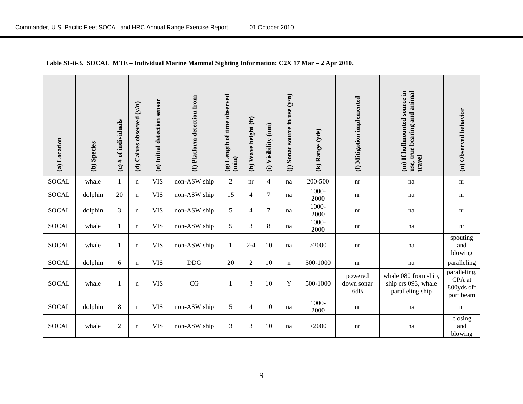| (a) Location | (b) Species | (c) $#$ of individuals | (d) Calves observed (y/n) | sensor<br>(e) Initial detection | (f) Platform detection from | (g) Length of time observed<br>(imin) | (h) Wave height (ft) | (mm)<br>Visibility<br>$\widehat{\mathbf{d}}$ | (j) Sonar source in use (y/n) | (k) Range (yds) | (I) Mitigation implemented   | (m) If hullmounted source in<br>use, true bearing and animal<br>travel | (n) Observed behavior                             |
|--------------|-------------|------------------------|---------------------------|---------------------------------|-----------------------------|---------------------------------------|----------------------|----------------------------------------------|-------------------------------|-----------------|------------------------------|------------------------------------------------------------------------|---------------------------------------------------|
| <b>SOCAL</b> | whale       | $\mathbf{1}$           | $\mathbf n$               | <b>VIS</b>                      | non-ASW ship                | $\overline{2}$                        | nr                   | $\overline{4}$                               | na                            | 200-500         | nr                           | na                                                                     | nr                                                |
| <b>SOCAL</b> | dolphin     | 20                     | $\mathbf n$               | <b>VIS</b>                      | non-ASW ship                | 15                                    | 4                    | 7                                            | na                            | 1000-<br>2000   | nr                           | na                                                                     | nr                                                |
| <b>SOCAL</b> | dolphin     | 3                      | $\mathbf n$               | <b>VIS</b>                      | non-ASW ship                | 5                                     | 4                    | 7                                            | na                            | 1000-<br>2000   | nr                           | na                                                                     | nr                                                |
| <b>SOCAL</b> | whale       | 1                      | $\mathbf n$               | <b>VIS</b>                      | non-ASW ship                | 5                                     | 3                    | 8                                            | na                            | 1000-<br>2000   | nr                           | na                                                                     | nr                                                |
| <b>SOCAL</b> | whale       | 1                      | $\mathbf n$               | <b>VIS</b>                      | non-ASW ship                | $\mathbf{1}$                          | $2 - 4$              | 10                                           | na                            | >2000           | nr                           | na                                                                     | spouting<br>and<br>blowing                        |
| <b>SOCAL</b> | dolphin     | 6                      | $\mathbf n$               | <b>VIS</b>                      | <b>DDG</b>                  | 20                                    | $\overline{2}$       | 10                                           | $\mathbf n$                   | 500-1000        | nr                           | na                                                                     | paralleling                                       |
| <b>SOCAL</b> | whale       | -1                     | $\mathbf n$               | <b>VIS</b>                      | CG                          | 1                                     | 3                    | 10                                           | Y                             | 500-1000        | powered<br>down sonar<br>6dB | whale 080 from ship,<br>ship crs 093, whale<br>paralleling ship        | paralleling,<br>CPA at<br>800yds off<br>port beam |
| <b>SOCAL</b> | dolphin     | 8                      | $\mathbf n$               | <b>VIS</b>                      | non-ASW ship                | 5                                     | 4                    | 10                                           | na                            | 1000-<br>2000   | nr                           | na                                                                     | nr                                                |
| <b>SOCAL</b> | whale       | $\mathfrak{2}$         | $\mathbf n$               | <b>VIS</b>                      | non-ASW ship                | 3                                     | 3                    | 10                                           | na                            | >2000           | nr                           | na                                                                     | closing<br>and<br>blowing                         |

#### **Table S1-ii-3. SOCAL MTE – Individual Marine Mammal Sighting Information: C2X 17 Mar – 2 Apr 2010.**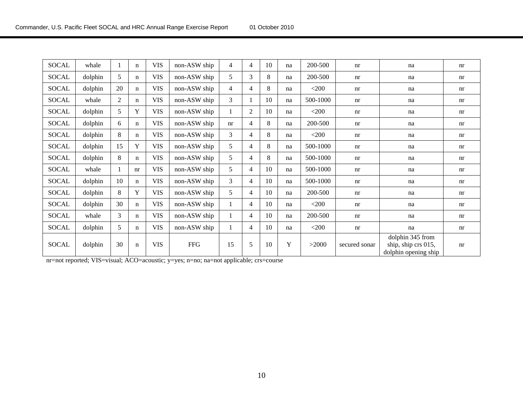| <b>SOCAL</b> | whale   |    | $\mathbf n$ | <b>VIS</b> | non-ASW ship | 4  | 4              | 10 | na | 200-500  | nr            | na                                                              | nr                         |
|--------------|---------|----|-------------|------------|--------------|----|----------------|----|----|----------|---------------|-----------------------------------------------------------------|----------------------------|
| <b>SOCAL</b> | dolphin | 5  | $\mathbf n$ | <b>VIS</b> | non-ASW ship | 5  | 3              | 8  | na | 200-500  | nr            | na                                                              | nr                         |
| <b>SOCAL</b> | dolphin | 20 | $\mathbf n$ | <b>VIS</b> | non-ASW ship | 4  | 4              | 8  | na | $<$ 200  | nr            | na                                                              | nr                         |
| <b>SOCAL</b> | whale   | 2  | n           | <b>VIS</b> | non-ASW ship | 3  |                | 10 | na | 500-1000 | nr            | na                                                              | nr                         |
| <b>SOCAL</b> | dolphin | 5  | Y           | <b>VIS</b> | non-ASW ship |    | $\overline{2}$ | 10 | na | $<$ 200  | nr            | na                                                              | nr                         |
| <b>SOCAL</b> | dolphin | 6  | $\mathbf n$ | <b>VIS</b> | non-ASW ship | nr | 4              | 8  | na | 200-500  | nr            | na                                                              | nr                         |
| <b>SOCAL</b> | dolphin | 8  | $\mathbf n$ | <b>VIS</b> | non-ASW ship | 3  | 4              | 8  | na | $<$ 200  | nr            | na                                                              | nr                         |
| <b>SOCAL</b> | dolphin | 15 | Y           | <b>VIS</b> | non-ASW ship | 5  | 4              | 8  | na | 500-1000 | nr            | na                                                              | nr                         |
| <b>SOCAL</b> | dolphin | 8  | n           | <b>VIS</b> | non-ASW ship | 5  | 4              | 8  | na | 500-1000 | nr            | na                                                              | nr                         |
| <b>SOCAL</b> | whale   |    | nr          | <b>VIS</b> | non-ASW ship | 5  | 4              | 10 | na | 500-1000 | nr            | na                                                              | $\mathop{\rm nr}\nolimits$ |
| <b>SOCAL</b> | dolphin | 10 | n           | <b>VIS</b> | non-ASW ship | 3  | 4              | 10 | na | 500-1000 | nr            | na                                                              | nr                         |
| <b>SOCAL</b> | dolphin | 8  | Y           | <b>VIS</b> | non-ASW ship | 5  | 4              | 10 | na | 200-500  | nr            | na                                                              | nr                         |
| SOCAL        | dolphin | 30 | $\mathbf n$ | <b>VIS</b> | non-ASW ship |    | 4              | 10 | na | $<$ 200  | nr            | na                                                              | nr                         |
| <b>SOCAL</b> | whale   | 3  | $\mathbf n$ | <b>VIS</b> | non-ASW ship |    | $\overline{4}$ | 10 | na | 200-500  | nr            | na                                                              | nr                         |
| <b>SOCAL</b> | dolphin | 5  | $\mathbf n$ | <b>VIS</b> | non-ASW ship |    | 4              | 10 | na | $<$ 200  | nr            | na                                                              | $\mathop{\rm nr}\nolimits$ |
| SOCAL        | dolphin | 30 | $\mathbf n$ | <b>VIS</b> | <b>FFG</b>   | 15 | 5              | 10 | Y  | >2000    | secured sonar | dolphin 345 from<br>ship, ship crs 015,<br>dolphin opening ship | nr                         |

nr=not reported; VIS=visual; ACO=acoustic; y=yes; n=no; na=not applicable; crs=course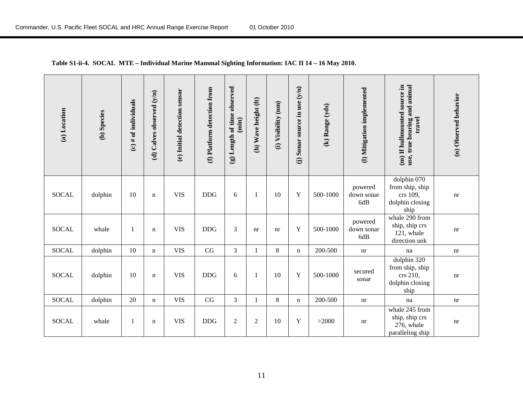| (a) Location | (b) Species | (c) $#$ of individuals | Calves observed (y/n)<br>$\widehat{\mathbf{c}}$ | (e) Initial detection sensor | (f) Platform detection from | (g) Length of time observed<br>(imin) | (h) Wave height (ft) | (i) Visibility (nm) | Sonar source in use (y/n)<br>$\widehat{\Theta}$ | (k) Range (yds) | (I) Mitigation implemented   | (m) If hullmounted source in<br>use, true bearing and animal<br>travel | (n) Observed behavior      |
|--------------|-------------|------------------------|-------------------------------------------------|------------------------------|-----------------------------|---------------------------------------|----------------------|---------------------|-------------------------------------------------|-----------------|------------------------------|------------------------------------------------------------------------|----------------------------|
| <b>SOCAL</b> | dolphin     | 10                     | $\mathbf n$                                     | <b>VIS</b>                   | <b>DDG</b>                  | 6                                     | 1                    | 10                  | Y                                               | 500-1000        | powered<br>down sonar<br>6dB | dolphin 070<br>from ship, ship<br>crs 109,<br>dolphin closing<br>ship  | nr                         |
| <b>SOCAL</b> | whale       | 1                      | $\mathbf n$                                     | <b>VIS</b>                   | <b>DDG</b>                  | 3                                     | nr                   | nr                  | Y                                               | 500-1000        | powered<br>down sonar<br>6dB | whale 290 from<br>ship, ship crs<br>121, whale<br>direction unk        | nr                         |
| <b>SOCAL</b> | dolphin     | 10                     | $\mathbf n$                                     | <b>VIS</b>                   | CG                          | 3                                     | 1                    | 8                   | $\mathbf n$                                     | 200-500         | nr                           | na                                                                     | nr                         |
| <b>SOCAL</b> | dolphin     | 10                     | $\mathbf n$                                     | <b>VIS</b>                   | <b>DDG</b>                  | 6                                     | $\mathbf{1}$         | 10                  | Y                                               | 500-1000        | secured<br>sonar             | dolphin 320<br>from ship, ship<br>crs 210,<br>dolphin closing<br>ship  | nr                         |
| <b>SOCAL</b> | dolphin     | 20                     | $\mathbf n$                                     | <b>VIS</b>                   | CG                          | $\overline{3}$                        | 1                    | $\,8\,$             | n                                               | 200-500         | $\mathop{\rm nr}\nolimits$   | na                                                                     | $\mathop{\rm nr}\nolimits$ |
| <b>SOCAL</b> | whale       | 1                      | n                                               | <b>VIS</b>                   | <b>DDG</b>                  | $\overline{2}$                        | $\overline{2}$       | 10                  | Y                                               | >2000           | nr                           | whale 245 from<br>ship, ship crs<br>276, whale<br>paralleling ship     | nr                         |

#### **Table S1-ii-4. SOCAL MTE – Individual Marine Mammal Sighting Information: IAC II 14 – 16 May 2010.**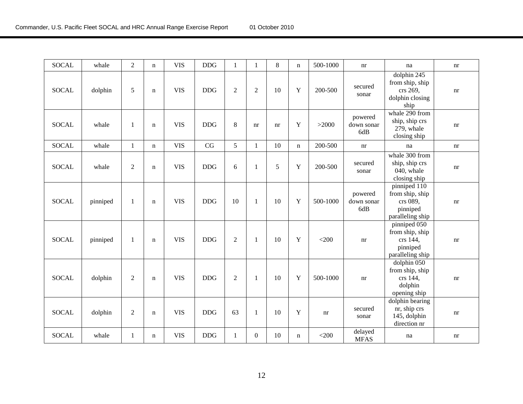| <b>SOCAL</b> | whale    | $\overline{2}$ | $\mathbf n$ | <b>VIS</b> | <b>DDG</b> | $\mathbf{1}$   | $\mathbf{1}$     | 8  | $\mathbf n$ | 500-1000 | nr                           | na                                                                          | nr |
|--------------|----------|----------------|-------------|------------|------------|----------------|------------------|----|-------------|----------|------------------------------|-----------------------------------------------------------------------------|----|
| <b>SOCAL</b> | dolphin  | 5              | n           | <b>VIS</b> | <b>DDG</b> | $\overline{2}$ | $\overline{2}$   | 10 | Y           | 200-500  | secured<br>sonar             | dolphin 245<br>from ship, ship<br>crs 269,<br>dolphin closing<br>ship       | nr |
| <b>SOCAL</b> | whale    | 1              | $\mathbf n$ | <b>VIS</b> | <b>DDG</b> | 8              | nr               | nr | Y           | >2000    | powered<br>down sonar<br>6dB | whale 290 from<br>ship, ship crs<br>279, whale<br>closing ship              | nr |
| <b>SOCAL</b> | whale    | $\mathbf{1}$   | n           | <b>VIS</b> | CG         | 5              | $\mathbf{1}$     | 10 | $\mathbf n$ | 200-500  | nr                           | na                                                                          | nr |
| <b>SOCAL</b> | whale    | $\overline{2}$ | $\mathbf n$ | <b>VIS</b> | <b>DDG</b> | 6              | $\mathbf{1}$     | 5  | Y           | 200-500  | secured<br>sonar             | whale 300 from<br>ship, ship crs<br>040, whale<br>closing ship              | nr |
| <b>SOCAL</b> | pinniped | $\mathbf{1}$   | $\mathbf n$ | <b>VIS</b> | <b>DDG</b> | 10             | $\mathbf{1}$     | 10 | Y           | 500-1000 | powered<br>down sonar<br>6dB | pinniped 110<br>from ship, ship<br>crs 089,<br>pinniped<br>paralleling ship | nr |
| <b>SOCAL</b> | pinniped | $\mathbf{1}$   | $\mathbf n$ | <b>VIS</b> | <b>DDG</b> | $\overline{2}$ | $\mathbf{1}$     | 10 | Y           | $<$ 200  | nr                           | pinniped 050<br>from ship, ship<br>crs 144,<br>pinniped<br>paralleling ship | nr |
| <b>SOCAL</b> | dolphin  | $\overline{2}$ | $\mathbf n$ | <b>VIS</b> | <b>DDG</b> | $\overline{2}$ | $\mathbf{1}$     | 10 | Y           | 500-1000 | nr                           | dolphin 050<br>from ship, ship<br>crs 144,<br>dolphin<br>opening ship       | nr |
| <b>SOCAL</b> | dolphin  | $\overline{2}$ | $\mathbf n$ | <b>VIS</b> | <b>DDG</b> | 63             | $\mathbf{1}$     | 10 | Y           | nr       | secured<br>sonar             | dolphin bearing<br>nr, ship crs<br>145, dolphin<br>direction nr             | nr |
| <b>SOCAL</b> | whale    | 1              | n           | <b>VIS</b> | <b>DDG</b> | 1              | $\boldsymbol{0}$ | 10 | $\mathbf n$ | $<$ 200  | delayed<br><b>MFAS</b>       | na                                                                          | nr |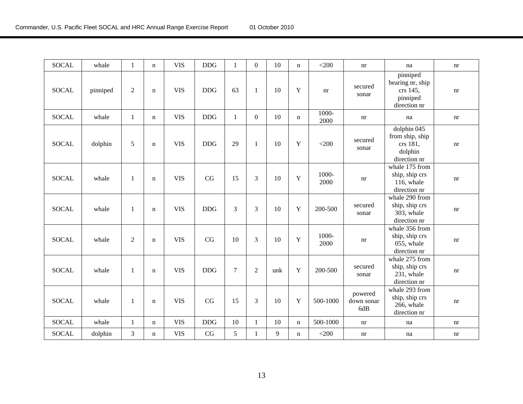| <b>SOCAL</b> | whale    | $\mathbf{1}$   | $\mathbf n$ | <b>VIS</b> | <b>DDG</b> | $\mathbf{1}$   | $\boldsymbol{0}$ | 10  | n           | $<$ 200       | nr                           | na                                                                    | nr |
|--------------|----------|----------------|-------------|------------|------------|----------------|------------------|-----|-------------|---------------|------------------------------|-----------------------------------------------------------------------|----|
| <b>SOCAL</b> | pinniped | $\sqrt{2}$     | $\mathbf n$ | <b>VIS</b> | <b>DDG</b> | 63             | $\mathbf{1}$     | 10  | Y           | nr            | secured<br>sonar             | pinniped<br>bearing nr, ship<br>crs 145,<br>pinniped<br>direction nr  | nr |
| <b>SOCAL</b> | whale    | $\mathbf{1}$   | $\mathbf n$ | <b>VIS</b> | <b>DDG</b> | $\mathbf{1}$   | $\mathbf{0}$     | 10  | n           | 1000-<br>2000 | nr                           | na                                                                    | nr |
| <b>SOCAL</b> | dolphin  | 5              | $\mathbf n$ | <b>VIS</b> | <b>DDG</b> | 29             | $\mathbf{1}$     | 10  | $\mathbf Y$ | $<$ 200       | secured<br>sonar             | dolphin 045<br>from ship, ship<br>crs 181,<br>dolphin<br>direction nr | nr |
| <b>SOCAL</b> | whale    | 1              | $\mathbf n$ | <b>VIS</b> | CG         | 15             | 3                | 10  | $\mathbf Y$ | 1000-<br>2000 | nr                           | whale 175 from<br>ship, ship crs<br>116, whale<br>direction nr        | nr |
| <b>SOCAL</b> | whale    | $\mathbf{1}$   | $\mathbf n$ | <b>VIS</b> | <b>DDG</b> | 3              | 3                | 10  | Y           | 200-500       | secured<br>sonar             | whale 290 from<br>ship, ship crs<br>303, whale<br>direction nr        | nr |
| <b>SOCAL</b> | whale    | $\overline{2}$ | $\mathbf n$ | <b>VIS</b> | CG         | 10             | 3                | 10  | Y           | 1000-<br>2000 | nr                           | whale 356 from<br>ship, ship crs<br>055, whale<br>direction nr        | nr |
| <b>SOCAL</b> | whale    | 1              | $\mathbf n$ | <b>VIS</b> | <b>DDG</b> | $\overline{7}$ | $\overline{2}$   | unk | Y           | 200-500       | secured<br>sonar             | whale 275 from<br>ship, ship crs<br>231, whale<br>direction nr        | nr |
| <b>SOCAL</b> | whale    | $\mathbf{1}$   | $\mathbf n$ | <b>VIS</b> | CG         | 15             | 3                | 10  | Y           | 500-1000      | powered<br>down sonar<br>6dB | whale 293 from<br>ship, ship crs<br>266, whale<br>direction nr        | nr |
| <b>SOCAL</b> | whale    | $\mathbf{1}$   | $\mathbf n$ | <b>VIS</b> | <b>DDG</b> | 10             | $\mathbf{1}$     | 10  | $\mathbf n$ | 500-1000      | nr                           | na                                                                    | nr |
| <b>SOCAL</b> | dolphin  | 3              | $\mathbf n$ | <b>VIS</b> | CG         | 5              | $\mathbf{1}$     | 9   | $\mathbf n$ | $<$ 200       | nr                           | na                                                                    | nr |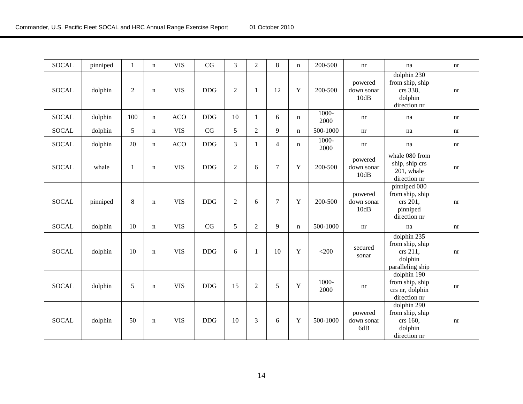| <b>SOCAL</b> | pinniped | 1              | n           | <b>VIS</b> | CG         | 3              | $\overline{2}$ | $8\,$          | n           | 200-500          | nr                            | na                                                                        | nr |
|--------------|----------|----------------|-------------|------------|------------|----------------|----------------|----------------|-------------|------------------|-------------------------------|---------------------------------------------------------------------------|----|
| <b>SOCAL</b> | dolphin  | $\overline{2}$ | $\mathbf n$ | <b>VIS</b> | <b>DDG</b> | $\overline{2}$ | $\mathbf{1}$   | 12             | Y           | 200-500          | powered<br>down sonar<br>10dB | dolphin 230<br>from ship, ship<br>crs 338,<br>dolphin<br>direction nr     | nr |
| <b>SOCAL</b> | dolphin  | 100            | $\mathbf n$ | <b>ACO</b> | <b>DDG</b> | 10             | 1              | 6              | n           | 1000-<br>2000    | nr                            | na                                                                        | nr |
| <b>SOCAL</b> | dolphin  | 5              | $\mathbf n$ | <b>VIS</b> | CG         | 5              | $\overline{2}$ | 9              | $\mathbf n$ | 500-1000         | nr                            | na                                                                        | nr |
| <b>SOCAL</b> | dolphin  | 20             | n           | <b>ACO</b> | <b>DDG</b> | 3              | 1              | $\overline{4}$ | n           | $1000 -$<br>2000 | nr                            | na                                                                        | nr |
| <b>SOCAL</b> | whale    | 1              | $\mathbf n$ | <b>VIS</b> | <b>DDG</b> | $\overline{2}$ | 6              | $\overline{7}$ | Y           | 200-500          | powered<br>down sonar<br>10dB | whale 080 from<br>ship, ship crs<br>201, whale<br>direction nr            | nr |
| <b>SOCAL</b> | pinniped | 8              | n           | <b>VIS</b> | <b>DDG</b> | $\overline{2}$ | 6              | $\overline{7}$ | $\mathbf Y$ | 200-500          | powered<br>down sonar<br>10dB | pinniped 080<br>from ship, ship<br>crs 201,<br>pinniped<br>direction nr   | nr |
| <b>SOCAL</b> | dolphin  | 10             | $\mathbf n$ | <b>VIS</b> | CG         | 5              | $\overline{2}$ | 9              | $\mathbf n$ | 500-1000         | nr                            | na                                                                        | nr |
| <b>SOCAL</b> | dolphin  | 10             | $\mathbf n$ | <b>VIS</b> | <b>DDG</b> | 6              | 1              | 10             | Y           | $<$ 200          | secured<br>sonar              | dolphin 235<br>from ship, ship<br>crs 211,<br>dolphin<br>paralleling ship | nr |
| <b>SOCAL</b> | dolphin  | 5              | $\mathbf n$ | <b>VIS</b> | <b>DDG</b> | 15             | $\overline{2}$ | 5              | $\mathbf Y$ | 1000-<br>2000    | nr                            | dolphin 190<br>from ship, ship<br>crs nr, dolphin<br>direction nr         | nr |
| <b>SOCAL</b> | dolphin  | 50             | $\mathbf n$ | <b>VIS</b> | <b>DDG</b> | 10             | 3              | 6              | $\mathbf Y$ | 500-1000         | powered<br>down sonar<br>6dB  | dolphin 290<br>from ship, ship<br>crs 160,<br>dolphin<br>direction nr     | nr |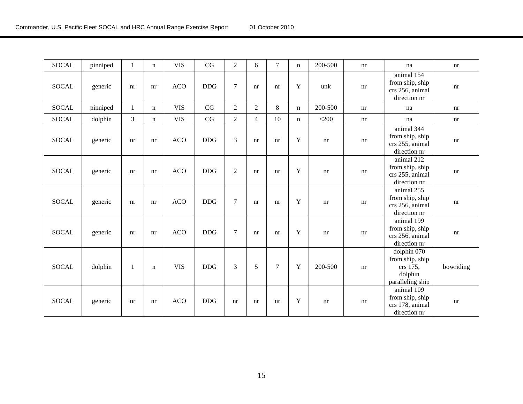| <b>SOCAL</b> | pinniped | 1            | n           | <b>VIS</b> | CG         | $\overline{2}$ | 6              | $\overline{7}$ | $\mathbf n$ | 200-500 | nr | na                                                                            | nr        |
|--------------|----------|--------------|-------------|------------|------------|----------------|----------------|----------------|-------------|---------|----|-------------------------------------------------------------------------------|-----------|
| <b>SOCAL</b> | generic  | nr           | nr          | <b>ACO</b> | <b>DDG</b> | 7              | nr             | nr             | Y           | unk     | nr | animal 154<br>from ship, ship<br>crs 256, animal<br>direction nr              | nr        |
| <b>SOCAL</b> | pinniped | $\mathbf{1}$ | $\mathbf n$ | <b>VIS</b> | CG         | $\overline{2}$ | $\overline{2}$ | 8              | $\mathbf n$ | 200-500 | nr | na                                                                            | nr        |
| <b>SOCAL</b> | dolphin  | 3            | n           | <b>VIS</b> | CG         | $\overline{2}$ | $\overline{4}$ | 10             | n           | $<$ 200 | nr | na                                                                            | nr        |
| <b>SOCAL</b> | generic  | nr           | nr          | <b>ACO</b> | <b>DDG</b> | 3              | nr             | nr             | Y           | nr      | nr | animal $3\overline{44}$<br>from ship, ship<br>crs 255, animal<br>direction nr | nr        |
| <b>SOCAL</b> | generic  | nr           | nr          | <b>ACO</b> | <b>DDG</b> | $\overline{2}$ | nr             | nr             | Y           | nr      | nr | animal 212<br>from ship, ship<br>crs 255, animal<br>direction nr              | nr        |
| <b>SOCAL</b> | generic  | nr           | nr          | <b>ACO</b> | <b>DDG</b> | 7              | nr             | nr             | Y           | nr      | nr | animal 255<br>from ship, ship<br>crs 256, animal<br>direction nr              | nr        |
| <b>SOCAL</b> | generic  | nr           | nr          | <b>ACO</b> | <b>DDG</b> | 7              | nr             | nr             | Y           | nr      | nr | animal 199<br>from ship, ship<br>crs 256, animal<br>direction nr              | nr        |
| <b>SOCAL</b> | dolphin  | 1            | n           | <b>VIS</b> | <b>DDG</b> | 3              | 5              | $\tau$         | Y           | 200-500 | nr | dolphin 070<br>from ship, ship<br>crs 175,<br>dolphin<br>paralleling ship     | bowriding |
| <b>SOCAL</b> | generic  | nr           | nr          | <b>ACO</b> | <b>DDG</b> | nr             | nr             | nr             | Y           | nr      | nr | animal $109$<br>from ship, ship<br>crs 178, animal<br>direction nr            | nr        |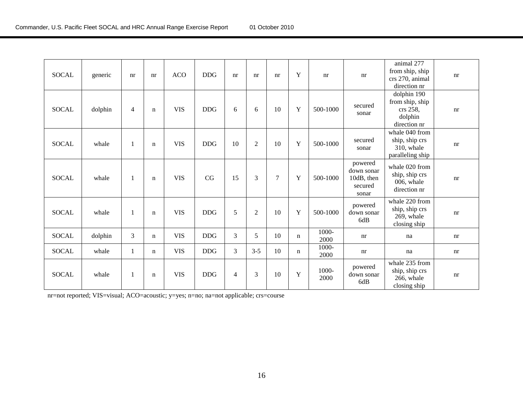| <b>SOCAL</b> | generic | nr             | nr          | <b>ACO</b> | <b>DDG</b> | nr             | nr             | nr             | Y | nr            | nr                                                      | animal 277<br>from ship, ship<br>crs 270, animal<br>direction nr      | nr |
|--------------|---------|----------------|-------------|------------|------------|----------------|----------------|----------------|---|---------------|---------------------------------------------------------|-----------------------------------------------------------------------|----|
| <b>SOCAL</b> | dolphin | $\overline{4}$ | $\mathbf n$ | <b>VIS</b> | <b>DDG</b> | 6              | 6              | 10             | Y | 500-1000      | secured<br>sonar                                        | dolphin 190<br>from ship, ship<br>crs 258,<br>dolphin<br>direction nr | nr |
| <b>SOCAL</b> | whale   | 1              | n           | <b>VIS</b> | <b>DDG</b> | 10             | $\overline{2}$ | 10             | Y | 500-1000      | secured<br>sonar                                        | whale 040 from<br>ship, ship crs<br>310, whale<br>paralleling ship    | nr |
| <b>SOCAL</b> | whale   | 1              | n           | <b>VIS</b> | CG         | 15             | 3              | $\overline{7}$ | Y | 500-1000      | powered<br>down sonar<br>10dB, then<br>secured<br>sonar | whale 020 from<br>ship, ship crs<br>006, whale<br>direction nr        | nr |
| <b>SOCAL</b> | whale   | 1              | n           | <b>VIS</b> | <b>DDG</b> | 5              | $\overline{2}$ | 10             | Y | 500-1000      | powered<br>down sonar<br>6dB                            | whale 220 from<br>ship, ship crs<br>269, whale<br>closing ship        | nr |
| <b>SOCAL</b> | dolphin | 3              | n           | <b>VIS</b> | <b>DDG</b> | $\mathfrak{Z}$ | 5              | 10             | n | 1000-<br>2000 | nr                                                      | na                                                                    | nr |
| <b>SOCAL</b> | whale   | 1              | n           | <b>VIS</b> | <b>DDG</b> | 3              | $3 - 5$        | 10             | n | 1000-<br>2000 | nr                                                      | na                                                                    | nr |
| <b>SOCAL</b> | whale   | 1              | $\mathbf n$ | <b>VIS</b> | <b>DDG</b> | $\overline{4}$ | 3              | 10             | Y | 1000-<br>2000 | powered<br>down sonar<br>6dB                            | whale 235 from<br>ship, ship crs<br>266, whale<br>closing ship        | nr |

nr=not reported; VIS=visual; ACO=acoustic; y=yes; n=no; na=not applicable; crs=course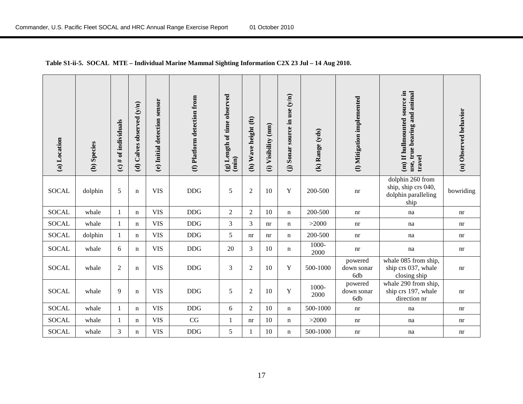| (a) Location | (b) Species | (c) $#$ of individuals | (d) Calves observed (y/n) | sensor<br>(e) Initial detection | (f) Platform detection from | (g) Length of time observed<br>$(\min)$ | (h) Wave height (ft) | (mm)<br>Visibility<br>$\widehat{\mathbf{c}}$ | source in use (y/n)<br>(j) Sonar | (k) Range (yds) | (I) Mitigation implemented   | (m) If hullmounted source in<br>use, true bearing and animal<br>travel | (n) Observed behavior |
|--------------|-------------|------------------------|---------------------------|---------------------------------|-----------------------------|-----------------------------------------|----------------------|----------------------------------------------|----------------------------------|-----------------|------------------------------|------------------------------------------------------------------------|-----------------------|
| <b>SOCAL</b> | dolphin     | 5                      | $\mathbf n$               | <b>VIS</b>                      | DDG                         | 5                                       | $\overline{2}$       | 10                                           | Y                                | 200-500         | nr                           | dolphin 260 from<br>ship, ship crs 040,<br>dolphin paralleling<br>ship | bowriding             |
| <b>SOCAL</b> | whale       | $\mathbf{1}$           | $\mathbf n$               | <b>VIS</b>                      | $DDG$                       | $\overline{2}$                          | $\overline{2}$       | 10                                           | n                                | 200-500         | nr                           | na                                                                     | nr                    |
| <b>SOCAL</b> | whale       | 1                      | $\mathbf n$               | <b>VIS</b>                      | DDG                         | 3                                       | 3                    | nr                                           | $\mathbf n$                      | >2000           | nr                           | na                                                                     | nr                    |
| <b>SOCAL</b> | dolphin     | $\mathbf{1}$           | $\mathbf n$               | <b>VIS</b>                      | $DDG$                       | 5                                       | nr                   | nr                                           | n                                | 200-500         | nr                           | na                                                                     | nr                    |
| <b>SOCAL</b> | whale       | 6                      | n                         | <b>VIS</b>                      | $\rm{DDG}$                  | 20                                      | 3                    | 10                                           | n                                | 1000-<br>2000   | nr                           | na                                                                     | nr                    |
| <b>SOCAL</b> | whale       | $\sqrt{2}$             | $\mathbf n$               | <b>VIS</b>                      | DDG                         | 3                                       | $\overline{2}$       | 10                                           | Y                                | 500-1000        | powered<br>down sonar<br>6db | whale 085 from ship,<br>ship crs 037, whale<br>closing ship            | nr                    |
| <b>SOCAL</b> | whale       | 9                      | $\mathbf n$               | <b>VIS</b>                      | <b>DDG</b>                  | 5                                       | $\overline{2}$       | 10                                           | Y                                | 1000-<br>2000   | powered<br>down sonar<br>6db | whale 290 from ship,<br>ship crs 197, whale<br>direction nr            | nr                    |
| <b>SOCAL</b> | whale       | 1                      | n                         | <b>VIS</b>                      | DDG                         | 6                                       | $\overline{2}$       | 10                                           | n                                | 500-1000        | nr                           | na                                                                     | nr                    |
| <b>SOCAL</b> | whale       | $\mathbf{1}$           | $\mathbf n$               | <b>VIS</b>                      | $\rm CG$                    | $\mathbf{1}$                            | nr                   | 10                                           | n                                | >2000           | nr                           | na                                                                     | nr                    |
| <b>SOCAL</b> | whale       | 3                      | $\mathbf n$               | <b>VIS</b>                      | $\rm{DDG}$                  | 5                                       |                      | 10                                           | $\mathbf n$                      | 500-1000        | nr                           | na                                                                     | nr                    |

#### **Table S1-ii-5. SOCAL MTE – Individual Marine Mammal Sighting Information C2X 23 Jul – 14 Aug 2010.**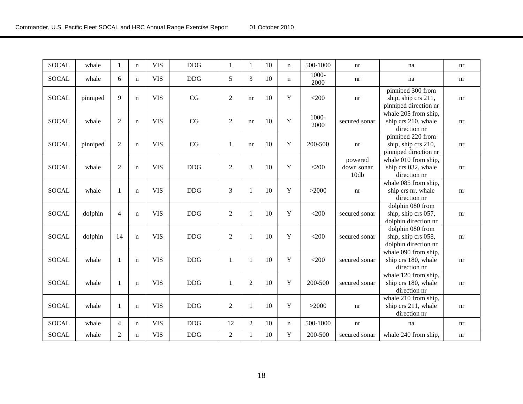| <b>SOCAL</b> | whale    | 1              | $\mathbf n$ | <b>VIS</b> | <b>DDG</b> | $\mathbf{1}$   | 1              | 10 | $\mathbf n$ | 500-1000      | nr                            | na                                                                | nr                         |
|--------------|----------|----------------|-------------|------------|------------|----------------|----------------|----|-------------|---------------|-------------------------------|-------------------------------------------------------------------|----------------------------|
| <b>SOCAL</b> | whale    | 6              | $\mathbf n$ | <b>VIS</b> | <b>DDG</b> | 5              | 3              | 10 | $\mathbf n$ | 1000-<br>2000 | nr                            | na                                                                | nr                         |
| <b>SOCAL</b> | pinniped | 9              | $\mathbf n$ | <b>VIS</b> | CG         | $\sqrt{2}$     | nr             | 10 | Y           | $<$ 200       | nr                            | pinniped 300 from<br>ship, ship crs 211,<br>pinniped direction nr | nr                         |
| <b>SOCAL</b> | whale    | $\overline{2}$ | $\mathbf n$ | <b>VIS</b> | CG         | $\sqrt{2}$     | nr             | 10 | Y           | 1000-<br>2000 | secured sonar                 | whale 205 from ship,<br>ship crs 210, whale<br>direction nr       | nr                         |
| <b>SOCAL</b> | pinniped | $\overline{2}$ | $\mathbf n$ | <b>VIS</b> | CG         | $\mathbf{1}$   | nr             | 10 | $\mathbf Y$ | 200-500       | nr                            | pinniped 220 from<br>ship, ship crs 210,<br>pinniped direction nr | $\mathop{\rm nr}\nolimits$ |
| <b>SOCAL</b> | whale    | $\overline{2}$ | $\mathbf n$ | <b>VIS</b> | <b>DDG</b> | $\overline{2}$ | 3              | 10 | Y           | $<$ 200       | powered<br>down sonar<br>10db | whale 010 from ship,<br>ship crs 032, whale<br>direction nr       | nr                         |
| <b>SOCAL</b> | whale    | $\mathbf{1}$   | $\mathbf n$ | <b>VIS</b> | <b>DDG</b> | $\overline{3}$ | -1             | 10 | Y           | >2000         | nr                            | whale 085 from ship,<br>ship crs nr, whale<br>direction nr        | nr                         |
| <b>SOCAL</b> | dolphin  | $\overline{4}$ | $\mathbf n$ | <b>VIS</b> | <b>DDG</b> | $\overline{2}$ | -1             | 10 | Y           | $<$ 200       | secured sonar                 | dolphin 080 from<br>ship, ship crs 057,<br>dolphin direction nr   | nr                         |
| <b>SOCAL</b> | dolphin  | 14             | $\mathbf n$ | <b>VIS</b> | <b>DDG</b> | $\sqrt{2}$     | $\overline{1}$ | 10 | Y           | $<$ 200       | secured sonar                 | dolphin 080 from<br>ship, ship crs 058,<br>dolphin direction nr   | $\mathop{\rm nr}\nolimits$ |
| <b>SOCAL</b> | whale    | 1              | $\mathbf n$ | <b>VIS</b> | <b>DDG</b> | $\mathbf{1}$   | $\overline{1}$ | 10 | Y           | $<$ 200       | secured sonar                 | whale 090 from ship,<br>ship crs 180, whale<br>direction nr       | nr                         |
| <b>SOCAL</b> | whale    | $\mathbf{1}$   | $\mathbf n$ | <b>VIS</b> | <b>DDG</b> | $\mathbf{1}$   | $\overline{2}$ | 10 | Y           | 200-500       | secured sonar                 | whale 120 from ship,<br>ship crs 180, whale<br>direction nr       | nr                         |
| <b>SOCAL</b> | whale    | $\mathbf{1}$   | $\mathbf n$ | <b>VIS</b> | <b>DDG</b> | $\overline{2}$ | $\mathbf{1}$   | 10 | Y           | >2000         | nr                            | whale 210 from ship,<br>ship crs 211, whale<br>direction nr       | nr                         |
| <b>SOCAL</b> | whale    | $\overline{4}$ | $\mathbf n$ | <b>VIS</b> | <b>DDG</b> | 12             | $\overline{2}$ | 10 | $\mathbf n$ | 500-1000      | nr                            | na                                                                | nr                         |
| <b>SOCAL</b> | whale    | $\overline{2}$ | $\mathbf n$ | <b>VIS</b> | <b>DDG</b> | $\overline{2}$ |                | 10 | Y           | 200-500       | secured sonar                 | whale 240 from ship,                                              | nr                         |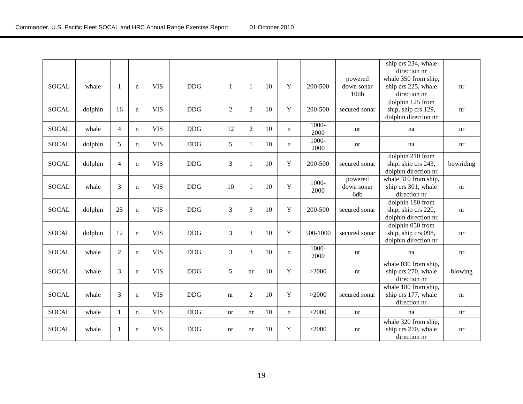|              |         |                |             |            |            |                |                |    |             |          |               | ship crs 234, whale                  |                            |
|--------------|---------|----------------|-------------|------------|------------|----------------|----------------|----|-------------|----------|---------------|--------------------------------------|----------------------------|
|              |         |                |             |            |            |                |                |    |             |          |               | direction nr                         |                            |
|              |         |                |             |            |            |                |                |    |             |          | powered       | whale 350 from ship,                 |                            |
| <b>SOCAL</b> | whale   | 1              | $\mathbf n$ | <b>VIS</b> | <b>DDG</b> | 1              | $\mathbf{1}$   | 10 | Y           | 200-500  | down sonar    | ship crs 225, whale                  | nr                         |
|              |         |                |             |            |            |                |                |    |             |          | 10db          | direction nr                         |                            |
|              |         |                |             |            |            |                |                |    |             |          |               | dolphin 125 from                     |                            |
| <b>SOCAL</b> | dolphin | 16             | $\mathbf n$ | <b>VIS</b> | <b>DDG</b> | $\overline{2}$ | $\overline{2}$ | 10 | $\mathbf Y$ | 200-500  | secured sonar | ship, ship crs 129,                  | nr                         |
|              |         |                |             |            |            |                |                |    |             |          |               | dolphin direction nr                 |                            |
| <b>SOCAL</b> | whale   | $\overline{4}$ | $\mathbf n$ | <b>VIS</b> | <b>DDG</b> | 12             | $\overline{2}$ | 10 | n           | 1000-    | nr            | na                                   | nr                         |
|              |         |                |             |            |            |                |                |    |             | 2000     |               |                                      |                            |
| <b>SOCAL</b> | dolphin | 5              | $\mathbf n$ | <b>VIS</b> | <b>DDG</b> | 5              | -1             | 10 | n           | 1000-    | nr            | na                                   | nr                         |
|              |         |                |             |            |            |                |                |    |             | 2000     |               |                                      |                            |
|              |         |                |             |            |            |                |                |    |             |          |               | dolphin 210 from                     |                            |
| <b>SOCAL</b> | dolphin | $\overline{4}$ | $\mathbf n$ | <b>VIS</b> | <b>DDG</b> | $\mathfrak{Z}$ | -1             | 10 | Y           | 200-500  | secured sonar | ship, ship crs 243,                  | bowriding                  |
|              |         |                |             |            |            |                |                |    |             |          |               | dolphin direction nr                 |                            |
|              |         |                |             |            |            |                |                |    |             | 1000-    | powered       | whale 310 from ship,                 |                            |
| <b>SOCAL</b> | whale   | 3              | $\mathbf n$ | <b>VIS</b> | <b>DDG</b> | 10             | $\mathbf{1}$   | 10 | $\mathbf Y$ | 2000     | down sonar    | ship crs 301, whale                  | $\mathop{\rm nr}\nolimits$ |
|              |         |                |             |            |            |                |                |    |             |          | 6db           | direction nr                         |                            |
|              |         |                |             |            |            |                |                |    |             |          |               | dolphin 180 from                     |                            |
| <b>SOCAL</b> | dolphin | 25             | $\mathbf n$ | <b>VIS</b> | <b>DDG</b> | 3              | 3              | 10 | $\mathbf Y$ | 200-500  | secured sonar | ship, ship crs 220,                  | $\mathop{\rm nr}\nolimits$ |
|              |         |                |             |            |            |                |                |    |             |          |               | dolphin direction nr                 |                            |
|              |         |                |             |            |            |                |                |    |             |          |               | $\overline{\text{dolphin}}$ 050 from |                            |
| <b>SOCAL</b> | dolphin | 12             | $\mathbf n$ | <b>VIS</b> | <b>DDG</b> | 3              | 3              | 10 | Y           | 500-1000 | secured sonar | ship, ship crs 098,                  | nr                         |
|              |         |                |             |            |            |                |                |    |             |          |               | dolphin direction nr                 |                            |
| <b>SOCAL</b> | whale   | $\overline{2}$ | $\mathbf n$ | <b>VIS</b> | <b>DDG</b> | 3              | 3              | 10 | $\mathbf n$ | 1000-    | nr            | na                                   | nr                         |
|              |         |                |             |            |            |                |                |    |             | 2000     |               |                                      |                            |
|              |         |                |             |            |            |                |                |    |             |          |               | whale 030 from ship,                 |                            |
| <b>SOCAL</b> | whale   | 3              | $\mathbf n$ | <b>VIS</b> | <b>DDG</b> | 5              | nr             | 10 | $\mathbf Y$ | >2000    | nr            | ship crs 270, whale                  | blowing                    |
|              |         |                |             |            |            |                |                |    |             |          |               | direction nr                         |                            |
|              |         |                |             |            |            |                |                |    |             |          |               | whale 180 from ship,                 |                            |
| <b>SOCAL</b> | whale   | 3              | $\mathbf n$ | <b>VIS</b> | <b>DDG</b> | nr             | $\overline{2}$ | 10 | Y           | >2000    | secured sonar | ship crs 177, whale                  | nr                         |
|              |         |                |             |            |            |                |                |    |             |          |               | direction nr                         |                            |
| <b>SOCAL</b> | whale   | 1              | $\mathbf n$ | <b>VIS</b> | <b>DDG</b> | nr             | nr             | 10 | $\mathbf n$ | >2000    | nr            | na                                   | $\mathop{\rm nr}\nolimits$ |
|              |         |                |             |            |            |                |                |    |             |          |               | whale 320 from ship,                 |                            |
| <b>SOCAL</b> | whale   | 1              | $\mathbf n$ | <b>VIS</b> | <b>DDG</b> | nr             | nr             | 10 | Y           | >2000    | nr            | ship crs 270, whale                  | $\mathop{\rm nr}\nolimits$ |
|              |         |                |             |            |            |                |                |    |             |          |               | direction nr                         |                            |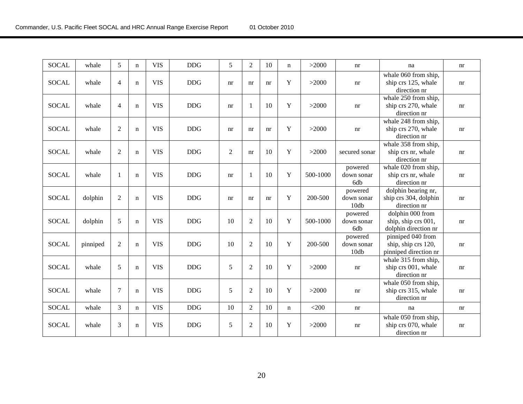| <b>SOCAL</b> | whale    | 5              | $\mathbf n$ | <b>VIS</b> | <b>DDG</b> | 5          | $\overline{2}$ | 10 | $\mathbf n$ | >2000    | nr                            | na                                                                | nr |
|--------------|----------|----------------|-------------|------------|------------|------------|----------------|----|-------------|----------|-------------------------------|-------------------------------------------------------------------|----|
| <b>SOCAL</b> | whale    | $\overline{4}$ | $\mathbf n$ | <b>VIS</b> | <b>DDG</b> | nr         | nr             | nr | $\mathbf Y$ | >2000    | nr                            | whale 060 from ship,<br>ship crs 125, whale<br>direction nr       | nr |
| <b>SOCAL</b> | whale    | $\overline{4}$ | $\mathbf n$ | <b>VIS</b> | <b>DDG</b> | nr         | $\mathbf{1}$   | 10 | Y           | >2000    | nr                            | whale 250 from ship,<br>ship crs 270, whale<br>direction nr       | nr |
| <b>SOCAL</b> | whale    | $\overline{2}$ | $\mathbf n$ | <b>VIS</b> | <b>DDG</b> | nr         | nr             | nr | Y           | >2000    | nr                            | whale 248 from ship,<br>ship crs 270, whale<br>direction nr       | nr |
| <b>SOCAL</b> | whale    | $\overline{2}$ | $\mathbf n$ | <b>VIS</b> | <b>DDG</b> | $\sqrt{2}$ | nr             | 10 | Y           | >2000    | secured sonar                 | whale 358 from ship,<br>ship crs nr, whale<br>direction nr        | nr |
| <b>SOCAL</b> | whale    | $\mathbf{1}$   | $\mathbf n$ | <b>VIS</b> | <b>DDG</b> | nr         | $\mathbf{1}$   | 10 | Y           | 500-1000 | powered<br>down sonar<br>6db  | whale 020 from ship,<br>ship crs nr, whale<br>direction nr        | nr |
| <b>SOCAL</b> | dolphin  | $\overline{2}$ | $\mathbf n$ | <b>VIS</b> | <b>DDG</b> | nr         | nr             | nr | $\mathbf Y$ | 200-500  | powered<br>down sonar<br>10db | dolphin bearing nr,<br>ship crs 304, dolphin<br>direction nr      | nr |
| <b>SOCAL</b> | dolphin  | 5              | $\mathbf n$ | <b>VIS</b> | <b>DDG</b> | 10         | $\overline{2}$ | 10 | $\mathbf Y$ | 500-1000 | powered<br>down sonar<br>6db  | dolphin 000 from<br>ship, ship crs 001,<br>dolphin direction nr   | nr |
| <b>SOCAL</b> | pinniped | $\overline{2}$ | $\mathbf n$ | <b>VIS</b> | <b>DDG</b> | 10         | $\overline{2}$ | 10 | $\mathbf Y$ | 200-500  | powered<br>down sonar<br>10db | pinniped 040 from<br>ship, ship crs 120,<br>pinniped direction nr | nr |
| <b>SOCAL</b> | whale    | 5              | $\mathbf n$ | <b>VIS</b> | <b>DDG</b> | $\sqrt{5}$ | $\overline{2}$ | 10 | $\mathbf Y$ | >2000    | nr                            | whale 315 from ship,<br>ship crs 001, whale<br>direction nr       | nr |
| <b>SOCAL</b> | whale    | 7              | $\mathbf n$ | <b>VIS</b> | <b>DDG</b> | 5          | $\overline{2}$ | 10 | Y           | >2000    | nr                            | whale 050 from ship,<br>ship crs 315, whale<br>direction nr       | nr |
| <b>SOCAL</b> | whale    | 3              | $\mathbf n$ | <b>VIS</b> | <b>DDG</b> | 10         | $\overline{2}$ | 10 | $\mathbf n$ | $<$ 200  | nr                            | na                                                                | nr |
| <b>SOCAL</b> | whale    | 3              | $\mathbf n$ | <b>VIS</b> | <b>DDG</b> | 5          | $\overline{2}$ | 10 | Y           | >2000    | nr                            | whale 050 from ship,<br>ship crs 070, whale<br>direction nr       | nr |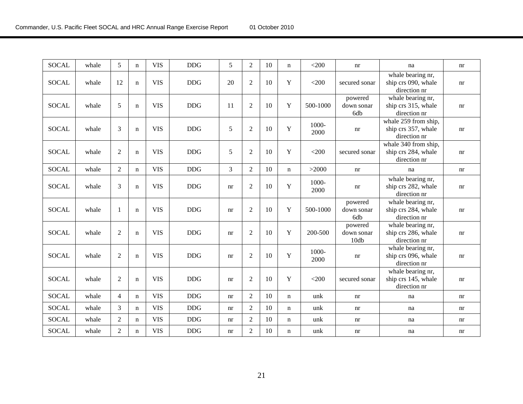| <b>SOCAL</b> | whale | 5              | $\mathbf n$ | <b>VIS</b> | <b>DDG</b> | 5  | 2              | 10 | $\mathbf n$ | $<$ 200       | nr                            | na                                                          | nr                         |
|--------------|-------|----------------|-------------|------------|------------|----|----------------|----|-------------|---------------|-------------------------------|-------------------------------------------------------------|----------------------------|
| <b>SOCAL</b> | whale | 12             | $\mathbf n$ | <b>VIS</b> | <b>DDG</b> | 20 | $\overline{2}$ | 10 | $\mathbf Y$ | $<$ 200       | secured sonar                 | whale bearing nr,<br>ship crs 090, whale<br>direction nr    | nr                         |
| <b>SOCAL</b> | whale | 5              | $\mathbf n$ | <b>VIS</b> | <b>DDG</b> | 11 | 2              | 10 | Y           | 500-1000      | powered<br>down sonar<br>6db  | whale bearing nr,<br>ship crs 315, whale<br>direction nr    | nr                         |
| <b>SOCAL</b> | whale | 3              | $\mathbf n$ | <b>VIS</b> | <b>DDG</b> | 5  | $\overline{2}$ | 10 | $\mathbf Y$ | 1000-<br>2000 | nr                            | whale 259 from ship,<br>ship crs 357, whale<br>direction nr | $\mathop{\rm nr}\nolimits$ |
| <b>SOCAL</b> | whale | $\overline{2}$ | $\mathbf n$ | <b>VIS</b> | <b>DDG</b> | 5  | $\overline{2}$ | 10 | Y           | $<$ 200       | secured sonar                 | whale 340 from ship,<br>ship crs 284, whale<br>direction nr | nr                         |
| <b>SOCAL</b> | whale | $\overline{2}$ | $\mathbf n$ | <b>VIS</b> | <b>DDG</b> | 3  | $\overline{2}$ | 10 | $\mathbf n$ | >2000         | nr                            | na                                                          | nr                         |
| <b>SOCAL</b> | whale | 3              | $\mathbf n$ | <b>VIS</b> | <b>DDG</b> | nr | $\overline{2}$ | 10 | $\mathbf Y$ | 1000-<br>2000 | nr                            | whale bearing nr,<br>ship crs 282, whale<br>direction nr    | nr                         |
| <b>SOCAL</b> | whale | $\mathbf{1}$   | $\mathbf n$ | <b>VIS</b> | <b>DDG</b> | nr | $\overline{2}$ | 10 | $\mathbf Y$ | 500-1000      | powered<br>down sonar<br>6db  | whale bearing nr,<br>ship crs 284, whale<br>direction nr    | nr                         |
| <b>SOCAL</b> | whale | $\overline{2}$ | $\mathbf n$ | <b>VIS</b> | <b>DDG</b> | nr | $\overline{2}$ | 10 | $\mathbf Y$ | 200-500       | powered<br>down sonar<br>10db | whale bearing nr,<br>ship crs 286, whale<br>direction nr    | nr                         |
| <b>SOCAL</b> | whale | $\overline{2}$ | $\mathbf n$ | <b>VIS</b> | <b>DDG</b> | nr | $\overline{2}$ | 10 | $\mathbf Y$ | 1000-<br>2000 | nr                            | whale bearing nr,<br>ship crs 096, whale<br>direction nr    | nr                         |
| <b>SOCAL</b> | whale | $\overline{2}$ | $\mathbf n$ | <b>VIS</b> | <b>DDG</b> | nr | $\overline{2}$ | 10 | Y           | $<$ 200       | secured sonar                 | whale bearing nr,<br>ship crs 145, whale<br>direction nr    | nr                         |
| <b>SOCAL</b> | whale | $\overline{4}$ | $\mathbf n$ | <b>VIS</b> | <b>DDG</b> | nr | 2              | 10 | $\mathbf n$ | unk           | nr                            | na                                                          | nr                         |
| <b>SOCAL</b> | whale | 3              | $\mathbf n$ | <b>VIS</b> | <b>DDG</b> | nr | $\overline{2}$ | 10 | $\mathbf n$ | unk           | nr                            | na                                                          | nr                         |
| <b>SOCAL</b> | whale | $\overline{2}$ | $\mathbf n$ | <b>VIS</b> | <b>DDG</b> | nr | $\overline{2}$ | 10 | $\mathbf n$ | unk           | nr                            | na                                                          | nr                         |
| <b>SOCAL</b> | whale | $\overline{2}$ | $\mathbf n$ | <b>VIS</b> | <b>DDG</b> | nr | $\overline{2}$ | 10 | n           | unk           | nr                            | na                                                          | nr                         |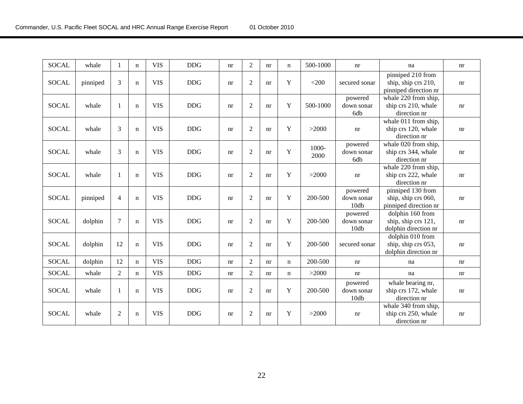| <b>SOCAL</b> | whale    | 1              | $\mathbf n$ | <b>VIS</b> | <b>DDG</b> | nr | $\overline{2}$ | nr | $\mathbf n$ | 500-1000      | nr                            | na                                                                | nr |
|--------------|----------|----------------|-------------|------------|------------|----|----------------|----|-------------|---------------|-------------------------------|-------------------------------------------------------------------|----|
| <b>SOCAL</b> | pinniped | 3              | $\mathbf n$ | <b>VIS</b> | <b>DDG</b> | nr | $\overline{c}$ | nr | $\mathbf Y$ | $<$ 200       | secured sonar                 | pinniped 210 from<br>ship, ship crs 210,<br>pinniped direction nr | nr |
| <b>SOCAL</b> | whale    | $\mathbf{1}$   | $\mathbf n$ | <b>VIS</b> | <b>DDG</b> | nr | $\overline{2}$ | nr | Y           | 500-1000      | powered<br>down sonar<br>6db  | whale 220 from ship,<br>ship crs 210, whale<br>direction nr       | nr |
| <b>SOCAL</b> | whale    | 3              | $\mathbf n$ | <b>VIS</b> | <b>DDG</b> | nr | $\overline{2}$ | nr | Y           | >2000         | nr                            | whale 011 from ship,<br>ship crs 120, whale<br>direction nr       | nr |
| <b>SOCAL</b> | whale    | 3              | $\mathbf n$ | <b>VIS</b> | $DDG$      | nr | $\overline{2}$ | nr | Y           | 1000-<br>2000 | powered<br>down sonar<br>6db  | whale 020 from ship,<br>ship crs 344, whale<br>direction nr       | nr |
| <b>SOCAL</b> | whale    | $\mathbf{1}$   | $\mathbf n$ | <b>VIS</b> | <b>DDG</b> | nr | $\overline{2}$ | nr | Y           | >2000         | nr                            | whale 220 from ship,<br>ship crs 222, whale<br>direction nr       | nr |
| <b>SOCAL</b> | pinniped | $\overline{4}$ | $\mathbf n$ | <b>VIS</b> | <b>DDG</b> | nr | $\overline{2}$ | nr | Y           | 200-500       | powered<br>down sonar<br>10db | pinniped 130 from<br>ship, ship crs 060,<br>pinniped direction nr | nr |
| <b>SOCAL</b> | dolphin  | $\tau$         | $\mathbf n$ | <b>VIS</b> | DDG        | nr | $\overline{2}$ | nr | Y           | 200-500       | powered<br>down sonar<br>10db | dolphin 160 from<br>ship, ship crs 121,<br>dolphin direction nr   | nr |
| <b>SOCAL</b> | dolphin  | 12             | $\mathbf n$ | <b>VIS</b> | $DDG$      | nr | $\overline{2}$ | nr | Y           | 200-500       | secured sonar                 | dolphin 010 from<br>ship, ship crs 053,<br>dolphin direction nr   | nr |
| <b>SOCAL</b> | dolphin  | 12             | $\mathbf n$ | <b>VIS</b> | <b>DDG</b> | nr | $\overline{2}$ | nr | $\mathbf n$ | 200-500       | nr                            | na                                                                | nr |
| <b>SOCAL</b> | whale    | $\overline{2}$ | $\mathbf n$ | <b>VIS</b> | DDG        | nr | $\overline{2}$ | nr | n           | >2000         | nr                            | na                                                                | nr |
| <b>SOCAL</b> | whale    | $\mathbf{1}$   | $\mathbf n$ | <b>VIS</b> | $DDG$      | nr | $\overline{2}$ | nr | Y           | 200-500       | powered<br>down sonar<br>10db | whale bearing nr,<br>ship crs 172, whale<br>direction nr          | nr |
| <b>SOCAL</b> | whale    | $\overline{2}$ | $\mathbf n$ | <b>VIS</b> | <b>DDG</b> | nr | $\overline{2}$ | nr | Y           | >2000         | nr                            | whale 340 from ship,<br>ship crs 250, whale<br>direction nr       | nr |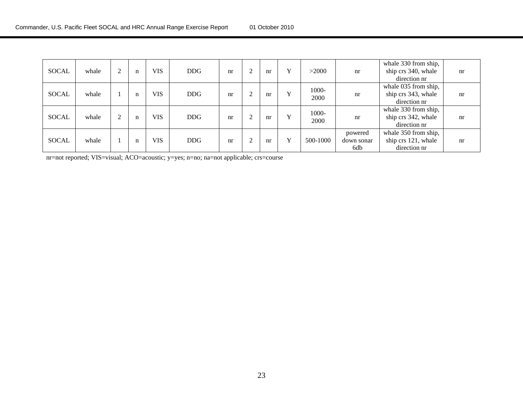| <b>SOCAL</b> | whale |   | n           | <b>VIS</b> | <b>DDG</b> | nr |           | nr | $\mathbf v$  | >2000         | nr                           | whale 330 from ship,<br>ship crs 340, whale<br>direction nr | nr |
|--------------|-------|---|-------------|------------|------------|----|-----------|----|--------------|---------------|------------------------------|-------------------------------------------------------------|----|
| <b>SOCAL</b> | whale |   | $\mathbf n$ | <b>VIS</b> | <b>DDG</b> | nr | $\bigcap$ | nr | $\mathbf{v}$ | 1000-<br>2000 | nr                           | whale 035 from ship,<br>ship crs 343, whale<br>direction nr | nr |
| <b>SOCAL</b> | whale | 2 | $\mathbf n$ | <b>VIS</b> | <b>DDG</b> | nr |           | nr | $\mathbf{v}$ | 1000-<br>2000 | nr                           | whale 330 from ship,<br>ship crs 342, whale<br>direction nr | nr |
| <b>SOCAL</b> | whale |   | n           | <b>VIS</b> | <b>DDG</b> | nr |           | nr | $\mathbf v$  | 500-1000      | powered<br>down sonar<br>6db | whale 350 from ship,<br>ship crs 121, whale<br>direction nr | nr |

nr=not reported; VIS=visual; ACO=acoustic; y=yes; n=no; na=not applicable; crs=course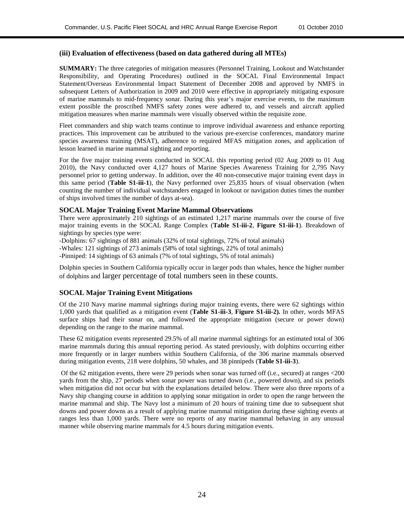#### **(iii) Evaluation of effectiveness (based on data gathered during all MTEs)**

**SUMMARY:** The three categories of mitigation measures (Personnel Training, Lookout and Watchstander Responsibility, and Operating Procedures) outlined in the SOCAL Final Environmental Impact Statement/Overseas Environmental Impact Statement of December 2008 and approved by NMFS in subsequent Letters of Authorization in 2009 and 2010 were effective in appropriately mitigating exposure of marine mammals to mid-frequency sonar. During this year's major exercise events, to the maximum extent possible the proscribed NMFS safety zones were adhered to, and vessels and aircraft applied mitigation measures when marine mammals were visually observed within the requisite zone.

Fleet commanders and ship watch teams continue to improve individual awareness and enhance reporting practices. This improvement can be attributed to the various pre-exercise conferences, mandatory marine species awareness training (MSAT), adherence to required MFAS mitigation zones, and application of lesson learned in marine mammal sighting and reporting.

For the five major training events conducted in SOCAL this reporting period (02 Aug 2009 to 01 Aug 2010), the Navy conducted over 4,127 hours of Marine Species Awareness Training for 2,795 Navy personnel prior to getting underway. In addition, over the 40 non-consecutive major training event days in this same period (**Table S1-iii-1**), the Navy performed over 25,835 hours of visual observation (when counting the number of individual watchstanders engaged in lookout or navigation duties times the number of ships involved times the number of days at-sea).

#### **SOCAL Major Training Event Marine Mammal Observations**

There were approximately 210 sightings of an estimated 1,217 marine mammals over the course of five major training events in the SOCAL Range Complex (**Table S1-iii-2**, **Figure S1-iii-1**). Breakdown of sightings by species type were:

-Dolphins: 67 sightings of 881 animals (32% of total sightings, 72% of total animals)

-Whales: 121 sightings of 273 animals (58% of total sightings, 22% of total animals)

-Pinniped: 14 sightings of 63 animals (7% of total sightings, 5% of total animals)

Dolphin species in Southern California typically occur in larger pods than whales, hence the higher number of dolphins and larger percentage of total numbers seen in these counts.

#### **SOCAL Major Training Event Mitigations**

Of the 210 Navy marine mammal sightings during major training events, there were 62 sightings within 1,000 yards that qualified as a mitigation event (**Table S1-iii-3**, **Figure S1-iii-2).** In other, words MFAS surface ships had their sonar on, and followed the appropriate mitigation (secure or power down) depending on the range to the marine mammal.

These 62 mitigation events represented 29.5% of all marine mammal sightings for an estimated total of 306 marine mammals during this annual reporting period. As stated previously, with dolphins occurring either more frequently or in larger numbers within Southern California, of the 306 marine mammals observed during mitigation events, 218 were dolphins, 50 whales, and 38 pinnipeds (**Table S1-iii-3**).

Of the 62 mitigation events, there were 29 periods when sonar was turned off (i.e., secured) at ranges <200 yards from the ship, 27 periods when sonar power was turned down (i.e., powered down), and six periods when mitigation did not occur but with the explanations detailed below. There were also three reports of a Navy ship changing course in addition to applying sonar mitigation in order to open the range between the marine mammal and ship. The Navy lost a minimum of 20 hours of training time due to subsequent shut downs and power downs as a result of applying marine mammal mitigation during these sighting events at ranges less than 1,000 yards. There were no reports of any marine mammal behaving in any unusual manner while observing marine mammals for 4.5 hours during mitigation events.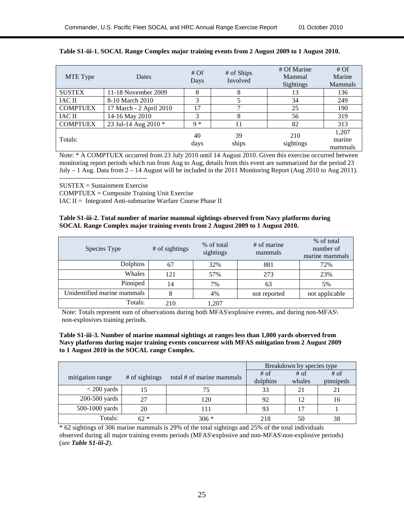| MTE Type        | <b>Dates</b>            | #Of<br>Days | # of Ships<br>Involved | # Of Marine<br>Mammal<br><b>Sightings</b> | # Of<br>Marine<br>Mammals  |
|-----------------|-------------------------|-------------|------------------------|-------------------------------------------|----------------------------|
| <b>SUSTEX</b>   | 11-18 November 2009     | 8           | 8                      | 13                                        | 136                        |
| <b>IAC II</b>   | 8-10 March 2010         | 3           |                        | 34                                        | 249                        |
| <b>COMPTUEX</b> | 17 March - 2 April 2010 | 17          | ┑                      | 25                                        | 190                        |
| <b>IAC II</b>   | 14-16 May 2010          | 3           | 8                      | 56                                        | 319                        |
| <b>COMPTUEX</b> | 23 Jul-14 Aug 2010 *    | $Q *$       | 11                     | 82                                        | 313                        |
| Totals:         |                         | 40<br>days  | 39<br>ships            | 210<br>sightings                          | 1,207<br>marine<br>mammals |

#### **Table S1-iii-1. SOCAL Range Complex major training events from 2 August 2009 to 1 August 2010.**

Note: \* A COMPTUEX occurred from 23 July 2010 until 14 August 2010. Given this exercise occurred between monitoring report periods which run from Aug to Aug, details from this event are summarized for the period 23 July – 1 Aug. Data from 2 – 14 August will be included in the 2011 Monitoring Report (Aug 2010 to Aug 2011). ----------------------------------------

SUSTEX = Sustainment Exercise

COMPTUEX = Composite Training Unit Exercise

IAC II = Integrated Anti-submarine Warfare Course Phase II

#### **Table S1-iii-2. Total number of marine mammal sightings observed from Navy platforms during SOCAL Range Complex major training events from 2 August 2009 to 1 August 2010.**

| Species Type                | # of sightings | % of total<br>sightings | # of marine<br>mammals | % of total<br>number of<br>marine mammals |
|-----------------------------|----------------|-------------------------|------------------------|-------------------------------------------|
| Dolphins                    | 67             | 32%                     | 881                    | 72%                                       |
| Whales                      | 121            | 57%                     | 273                    | 23%                                       |
| Pinniped                    | 14             | 7%                      | 63                     | 5%                                        |
| Unidentified marine mammals | 8              | 4%                      | not reported           | not applicable                            |
| Totals:                     | 210            | 1,207                   |                        |                                           |

Note: Totals represent sum of observations during both MFAS\explosive events, and during non-MFAS\ non-explosives training periods.

#### **Table S1-iii-3. Number of marine mammal sightings at ranges less than 1,000 yards observed from Navy platforms during major training events concurrent with MFAS mitigation from 2 August 2009 to 1 August 2010 in the SOCAL range Complex.**

|                  |                |                           | Breakdown by species type |        |           |  |
|------------------|----------------|---------------------------|---------------------------|--------|-----------|--|
| mitigation range | # of sightings | total # of marine mammals | $#$ of                    | $#$ of | $#$ of    |  |
|                  |                |                           | dolphins                  | whales | pinnipeds |  |
| $<$ 200 yards    | 15             | 75                        | 33                        | 21     | 21        |  |
| $200-500$ yards  | 27             | 120                       | 92                        | 12     | 16        |  |
| 500-1000 yards   | 20             | 111                       | 93                        |        |           |  |
| Totals:          | $62*$          | $306 *$                   | 218                       | 50     | 38        |  |

\* 62 sightings of 306 marine mammals is 29% of the total sightings and 25% of the total individuals observed during all major training events periods (MFAS\explosive and non-MFAS\non-explosive periods) (*see Table S1-iii-2*).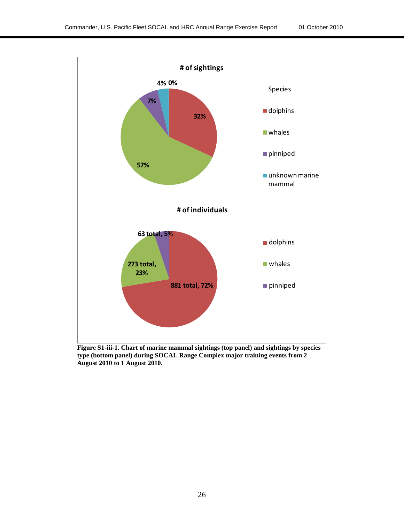

**Figure S1-iii-1. Chart of marine mammal sightings (top panel) and sightings by species type (bottom panel) during SOCAL Range Complex major training events from 2 August 2010 to 1 August 2010.**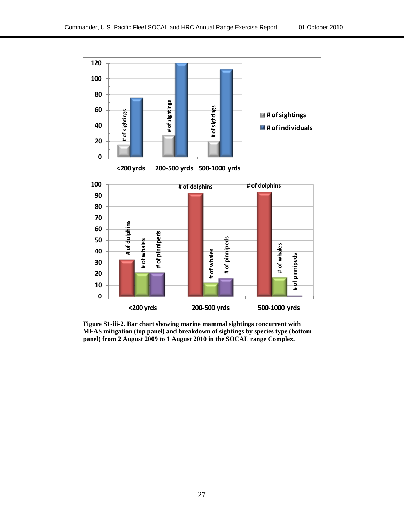

**Figure S1-iii-2. Bar chart showing marine mammal sightings concurrent with MFAS mitigation (top panel) and breakdown of sightings by species type (bottom**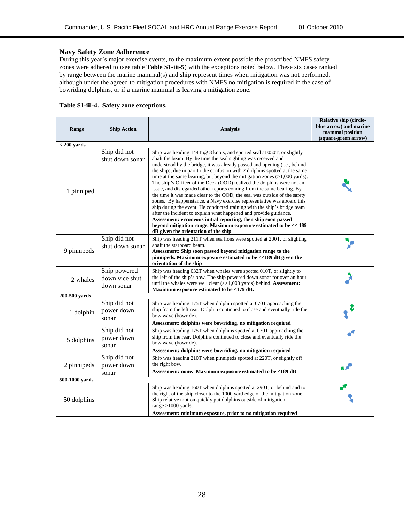#### **Navy Safety Zone Adherence**

During this year's major exercise events, to the maximum extent possible the proscribed NMFS safety zones were adhered to (see table **Table S1-iii-5**) with the exceptions noted below. These six cases ranked by range between the marine mammal(s) and ship represent times when mitigation was not performed, although under the agreed to mitigation procedures with NMFS no mitigation is required in the case of bowriding dolphins, or if a marine mammal is leaving a mitigation zone.

| Range          | <b>Ship Action</b>                           | <b>Analysis</b>                                                                                                                                                                                                                                                                                                                                                                                                                                                                                                                                                                                                                                                                                                                                                                                                                                                                                                                                                                                                                  | Relative ship (circle-<br>blue arrow) and marine<br>mammal position<br>(square-green arrow) |
|----------------|----------------------------------------------|----------------------------------------------------------------------------------------------------------------------------------------------------------------------------------------------------------------------------------------------------------------------------------------------------------------------------------------------------------------------------------------------------------------------------------------------------------------------------------------------------------------------------------------------------------------------------------------------------------------------------------------------------------------------------------------------------------------------------------------------------------------------------------------------------------------------------------------------------------------------------------------------------------------------------------------------------------------------------------------------------------------------------------|---------------------------------------------------------------------------------------------|
| $<$ 200 yards  |                                              |                                                                                                                                                                                                                                                                                                                                                                                                                                                                                                                                                                                                                                                                                                                                                                                                                                                                                                                                                                                                                                  |                                                                                             |
| 1 pinniped     | Ship did not<br>shut down sonar              | Ship was heading $144T \tQ 8$ knots, and spotted seal at 050T, or slightly<br>abaft the beam. By the time the seal sighting was received and<br>understood by the bridge, it was already passed and opening (i.e., behind<br>the ship), due in part to the confusion with 2 dolphins spotted at the same<br>time at the same bearing, but beyond the mitigation zones $(>1,000$ yards).<br>The ship's Officer of the Deck (OOD) realized the dolphins were not an<br>issue, and disregarded other reports coming from the same bearing. By<br>the time it was made clear to the OOD, the seal was outside of the safety<br>zones. By happenstance, a Navy exercise representative was aboard this<br>ship during the event. He conducted training with the ship's bridge team<br>after the incident to explain what happened and provide guidance.<br>Assessment: erroneous initial reporting, then ship soon passed<br>beyond mitigation range. Maximum exposure estimated to be << 189<br>dB given the orientation of the ship |                                                                                             |
| 9 pinnipeds    | Ship did not<br>shut down sonar              | Ship was heading 211T when sea lions were spotted at 200T, or slighting<br>abaft the starboard beam.<br>Assessment: Ship soon passed beyond mitigation range to the<br>pinnipeds. Maximum exposure estimated to be <<189 dB given the<br>orientation of the ship                                                                                                                                                                                                                                                                                                                                                                                                                                                                                                                                                                                                                                                                                                                                                                 |                                                                                             |
| 2 whales       | Ship powered<br>down vice shut<br>down sonar | Ship was heading 032T when whales were spotted 010T, or slightly to<br>the left of the ship's bow. The ship powered down sonar for over an hour<br>until the whales were well clear (>>1,000 yards) behind. Assessment:<br>Maximum exposure estimated to be <179 dB.                                                                                                                                                                                                                                                                                                                                                                                                                                                                                                                                                                                                                                                                                                                                                             |                                                                                             |
| 200-500 vards  |                                              |                                                                                                                                                                                                                                                                                                                                                                                                                                                                                                                                                                                                                                                                                                                                                                                                                                                                                                                                                                                                                                  |                                                                                             |
| 1 dolphin      | Ship did not<br>power down<br>sonar          | Ship was heading 175T when dolphin spotted at 070T approaching the<br>ship from the left rear. Dolphin continued to close and eventually ride the<br>bow wave (bowride).<br>Assessment: dolphins were bowriding, no mitigation required                                                                                                                                                                                                                                                                                                                                                                                                                                                                                                                                                                                                                                                                                                                                                                                          |                                                                                             |
| 5 dolphins     | Ship did not<br>power down<br>sonar          | Ship was heading 175T when dolphins spotted at 070T approaching the<br>ship from the rear. Dolphins continued to close and eventually ride the<br>bow wave (bowride).<br>Assessment: dolphins were bowriding, no mitigation required                                                                                                                                                                                                                                                                                                                                                                                                                                                                                                                                                                                                                                                                                                                                                                                             |                                                                                             |
| 2 pinnipeds    | Ship did not<br>power down<br>sonar          | Ship was heading 210T when pinnipeds spotted at 220T, or slightly off<br>the right bow.<br>Assessment: none. Maximum exposure estimated to be <189 dB                                                                                                                                                                                                                                                                                                                                                                                                                                                                                                                                                                                                                                                                                                                                                                                                                                                                            |                                                                                             |
| 500-1000 yards |                                              |                                                                                                                                                                                                                                                                                                                                                                                                                                                                                                                                                                                                                                                                                                                                                                                                                                                                                                                                                                                                                                  |                                                                                             |
| 50 dolphins    |                                              | Ship was heading 160T when dolphins spotted at 290T, or behind and to<br>the right of the ship closer to the 1000 yard edge of the mitigation zone.<br>Ship relative motion quickly put dolphins outside of mitigation<br>range $>1000$ yards.<br>Assessment: minimum exposure, prior to no mitigation required                                                                                                                                                                                                                                                                                                                                                                                                                                                                                                                                                                                                                                                                                                                  |                                                                                             |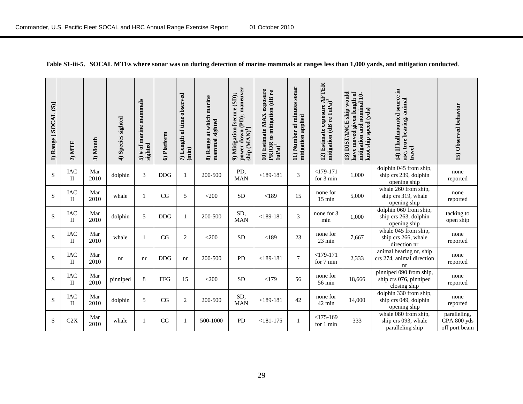| 1) Range [SOCAL (S)] | $2)$ MTE                   | 3) Month    | 4) Species sighted | 5) # of marine mammals<br>sighted | 6) Platform | 7) Length of time observed<br>$(\min)$ | at which marine<br>sighted<br>mammal<br>8) Range | power down (PD); maneuver<br>9) Mitigation [secure (SD);<br>ship (MAN) <sup>1</sup> ] | 10) Estimate MAX exposure<br>PRIOR to mitigation (dB re<br>$\mathbf{1uPa})^2$ | sonar<br>11) Number of minutes<br>mitigation applied | 12) Estimate exposure AFTER<br>mitigation (dB re 1uPa) <sup>2</sup> | have moved given length of<br>13) DISTANCE ship would<br>mitigation and nominal 10-<br>knot ship speed (yds) | 14) If hullmounted source in<br>use, true bearing, animal<br>travel | 15) Observed behavior                        |
|----------------------|----------------------------|-------------|--------------------|-----------------------------------|-------------|----------------------------------------|--------------------------------------------------|---------------------------------------------------------------------------------------|-------------------------------------------------------------------------------|------------------------------------------------------|---------------------------------------------------------------------|--------------------------------------------------------------------------------------------------------------|---------------------------------------------------------------------|----------------------------------------------|
| ${\bf S}$            | IAC<br>$\mathbf{I}$        | Mar<br>2010 | dolphin            | $\mathfrak{Z}$                    | <b>DDG</b>  | $\mathbf{1}$                           | 200-500                                          | PD,<br><b>MAN</b>                                                                     | $<$ 189-181                                                                   | 3                                                    | $<$ 179-171<br>for 3 min                                            | 1,000                                                                                                        | dolphin 045 from ship,<br>ship crs 239, dolphin<br>opening ship     | none<br>reported                             |
| S                    | <b>IAC</b><br>$_{\rm II}$  | Mar<br>2010 | whale              | 1                                 | CG          | 5                                      | $<$ 200                                          | <b>SD</b>                                                                             | < 189                                                                         | 15                                                   | none for<br>$15 \text{ min}$                                        | 5,000                                                                                                        | whale 260 from ship,<br>ship crs 319, whale<br>opening ship         | none<br>reported                             |
| $\mathbf S$          | <b>IAC</b><br>$\mathbf{I}$ | Mar<br>2010 | dolphin            | 5                                 | <b>DDG</b>  | $\mathbf{1}$                           | 200-500                                          | SD,<br><b>MAN</b>                                                                     | $<$ 189-181                                                                   | 3                                                    | none for 3<br>min                                                   | 1,000                                                                                                        | dolphin 060 from ship,<br>ship crs 263, dolphin<br>opening ship     | tacking to<br>open ship                      |
| $\mathbf S$          | <b>IAC</b><br>П            | Mar<br>2010 | whale              | $\mathbf{1}$                      | CG          | $\boldsymbol{2}$                       | $<$ 200                                          | <b>SD</b>                                                                             | < 189                                                                         | 23                                                   | none for<br>23 min                                                  | 7,667                                                                                                        | whale 045 from ship,<br>ship crs 266, whale<br>direction nr         | none<br>reported                             |
| ${\bf S}$            | <b>IAC</b><br>$_{\rm II}$  | Mar<br>2010 | nr                 | nr                                | <b>DDG</b>  | nr                                     | 200-500                                          | <b>PD</b>                                                                             | $<$ 189-181                                                                   | 7                                                    | $<$ 179-171<br>for 7 min                                            | 2,333                                                                                                        | animal bearing nr, ship<br>crs 274, animal direction<br>nr          | none<br>reported                             |
| ${\bf S}$            | <b>IAC</b><br>$_{\rm II}$  | Mar<br>2010 | pinniped           | $\,8\,$                           | <b>FFG</b>  | 15                                     | $<$ 200                                          | <b>SD</b>                                                                             | <179                                                                          | 56                                                   | none for<br>56 min                                                  | 18,666                                                                                                       | pinniped 090 from ship,<br>ship crs 076, pinniped<br>closing ship   | none<br>reported                             |
| S                    | <b>IAC</b><br>$\mathbf{I}$ | Mar<br>2010 | dolphin            | 5                                 | CG          | $\sqrt{2}$                             | 200-500                                          | SD,<br><b>MAN</b>                                                                     | $<$ 189-181                                                                   | 42                                                   | none for<br>42 min                                                  | 14.000                                                                                                       | dolphin 330 from ship,<br>ship crs 049, dolphin<br>opening ship     | none<br>reported                             |
| S                    | C2X                        | Mar<br>2010 | whale              | 1                                 | CG          | 1                                      | 500-1000                                         | PD                                                                                    | $<$ 181-175                                                                   | 1                                                    | $<$ 175-169<br>for 1 min                                            | 333                                                                                                          | whale 080 from ship,<br>ship crs 093, whale<br>paralleling ship     | paralleling,<br>CPA 800 yds<br>off port beam |

**Table S1-iii-5**. **SOCAL MTEs where sonar was on during detection of marine mammals at ranges less than 1,000 yards, and mitigation conducted**.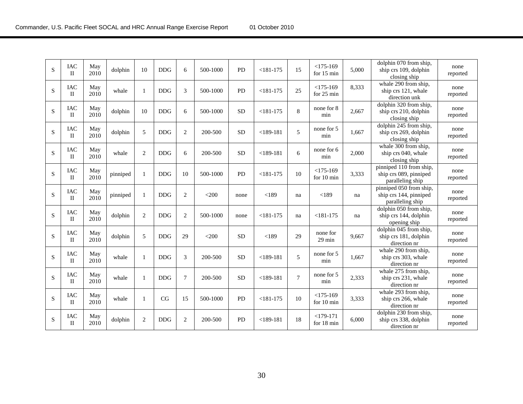| S           | <b>IAC</b><br>$\mathbf{H}$ | May<br>2010 | dolphin  | 10             | <b>DDG</b> | 6              | 500-1000 | <b>PD</b> | $<$ 181-175   | 15     | $<$ 175-169<br>for $15 \text{ min}$ | 5,000 | dolphin 070 from ship,<br>ship crs 109, dolphin<br>closing ship       | none<br>reported |
|-------------|----------------------------|-------------|----------|----------------|------------|----------------|----------|-----------|---------------|--------|-------------------------------------|-------|-----------------------------------------------------------------------|------------------|
| S           | $\rm IAC$<br>П             | May<br>2010 | whale    | 1              | <b>DDG</b> | 3              | 500-1000 | <b>PD</b> | $< 181 - 175$ | 25     | $<$ 175-169<br>for 25 min           | 8,333 | whale 290 from ship,<br>ship crs 121, whale<br>direction unk          | none<br>reported |
| S           | <b>IAC</b><br>$_{\rm II}$  | May<br>2010 | dolphin  | 10             | <b>DDG</b> | 6              | 500-1000 | <b>SD</b> | $< 181 - 175$ | 8      | none for 8<br>min                   | 2,667 | dolphin 320 from ship,<br>ship crs 210, dolphin<br>closing ship       | none<br>reported |
| S           | <b>IAC</b><br>$\mathbf{I}$ | May<br>2010 | dolphin  | 5              | <b>DDG</b> | 2              | 200-500  | <b>SD</b> | $<$ 189-181   | 5      | none for 5<br>min                   | 1.667 | dolphin 245 from ship,<br>ship crs 269, dolphin<br>closing ship       | none<br>reported |
| $\mathbf S$ | <b>IAC</b><br>$\Pi$        | May<br>2010 | whale    | $\mathbf{2}$   | <b>DDG</b> | $\sqrt{6}$     | 200-500  | SD        | $<$ 189-181   | 6      | none for 6<br>min                   | 2,000 | whale 300 from ship,<br>ship crs 040, whale<br>closing ship           | none<br>reported |
| S           | <b>IAC</b><br>$_{\rm II}$  | May<br>2010 | pinniped | 1              | <b>DDG</b> | 10             | 500-1000 | <b>PD</b> | $< 181 - 175$ | 10     | $<$ 175-169<br>for 10 min           | 3,333 | pinniped 110 from ship,<br>ship crs 089, pinniped<br>paralleling ship | none<br>reported |
| S           | <b>IAC</b><br>$_{\rm II}$  | May<br>2010 | pinniped | 1              | <b>DDG</b> | 2              | $<$ 200  | none      | < 189         | na     | < 189                               | na    | pinniped 050 from ship,<br>ship crs 144, pinniped<br>paralleling ship | none<br>reported |
| S           | IAC<br>$_{\rm II}$         | May<br>2010 | dolphin  | $\overline{2}$ | <b>DDG</b> | 2              | 500-1000 | none      | $< 181 - 175$ | na     | $< 181 - 175$                       | na    | dolphin 050 from ship,<br>ship crs 144, dolphin<br>opening ship       | none<br>reported |
| $\mathbf S$ | <b>IAC</b><br>$_{\rm II}$  | May<br>2010 | dolphin  | 5              | <b>DDG</b> | 29             | $<$ 200  | <b>SD</b> | < 189         | 29     | none for<br>$29 \text{ min}$        | 9,667 | dolphin 045 from ship,<br>ship crs 181, dolphin<br>direction nr       | none<br>reported |
| S           | <b>IAC</b><br>$_{\rm II}$  | May<br>2010 | whale    | 1              | <b>DDG</b> | 3              | 200-500  | <b>SD</b> | $<$ 189-181   | 5      | none for 5<br>min                   | 1,667 | whale 290 from ship,<br>ship crs 303, whale<br>direction nr           | none<br>reported |
| S           | IAC<br>$\mathbf{H}$        | May<br>2010 | whale    | 1              | <b>DDG</b> | $\overline{7}$ | 200-500  | <b>SD</b> | $<$ 189-181   | $\tau$ | none for 5<br>min                   | 2,333 | whale 275 from ship,<br>ship crs 231, whale<br>direction nr           | none<br>reported |
| $\mathbf S$ | <b>IAC</b><br>$\Pi$        | May<br>2010 | whale    | 1              | CG         | 15             | 500-1000 | PD        | $<$ 181-175   | 10     | $<$ 175-169<br>for $10 \text{ min}$ | 3,333 | whale 293 from ship,<br>ship crs 266, whale<br>direction nr           | none<br>reported |
| ${\bf S}$   | <b>IAC</b><br>П            | May<br>2010 | dolphin  | $\overline{2}$ | <b>DDG</b> | 2              | 200-500  | <b>PD</b> | $<$ 189-181   | 18     | $<179-171$<br>for 18 min            | 6,000 | dolphin 230 from ship,<br>ship crs 338, dolphin<br>direction nr       | none<br>reported |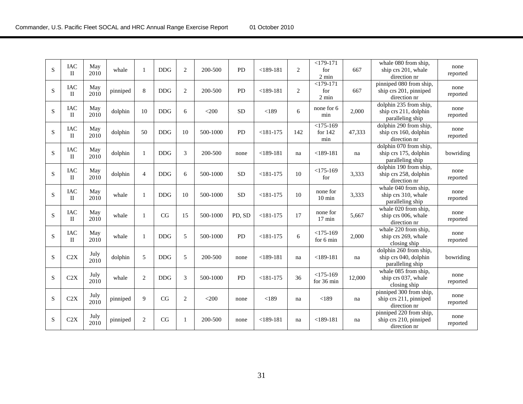| S | <b>IAC</b><br>$\mathbf{I}$ | May<br>2010  | whale    | $\mathbf{1}$   | <b>DDG</b> | 2              | 200-500  | <b>PD</b> | $<$ 189-181   | $\overline{2}$ | $<$ 179-171<br>for<br>$2 \text{ min}$ | 667    | whale 080 from ship,<br>ship crs 201, whale<br>direction nr         | none<br>reported |
|---|----------------------------|--------------|----------|----------------|------------|----------------|----------|-----------|---------------|----------------|---------------------------------------|--------|---------------------------------------------------------------------|------------------|
| S | IAC<br>$\rm{II}$           | May<br>2010  | pinniped | 8              | <b>DDG</b> | $\overline{c}$ | 200-500  | PD        | $<$ 189-181   | $\overline{c}$ | $<$ 179-171<br>for<br>2 min           | 667    | pinniped 080 from ship,<br>ship crs 201, pinniped<br>direction nr   | none<br>reported |
| S | IAC<br>П                   | May<br>2010  | dolphin  | 10             | <b>DDG</b> | 6              | $<$ 200  | <b>SD</b> | < 189         | 6              | none for 6<br>min                     | 2,000  | dolphin 235 from ship,<br>ship crs 211, dolphin<br>paralleling ship | none<br>reported |
| S | <b>IAC</b><br>$\rm{II}$    | May<br>2010  | dolphin  | 50             | <b>DDG</b> | 10             | 500-1000 | PD        | $< 181 - 175$ | 142            | $<$ 175-169<br>for $142$<br>min       | 47,333 | dolphin 290 from ship,<br>ship crs 160, dolphin<br>direction nr     | none<br>reported |
| S | <b>IAC</b><br>$\mathbf{H}$ | May<br>2010  | dolphin  | 1              | <b>DDG</b> | 3              | 200-500  | none      | $<$ 189-181   | na             | $<$ 189-181                           | na     | dolphin 070 from ship,<br>ship crs 175, dolphin<br>paralleling ship | bowriding        |
| S | <b>IAC</b><br>$\rm{II}$    | May<br>2010  | dolphin  | $\overline{4}$ | <b>DDG</b> | 6              | 500-1000 | <b>SD</b> | $< 181 - 175$ | 10             | $<$ 175-169<br>for                    | 3,333  | dolphin 190 from ship,<br>ship crs 258, dolphin<br>direction nr     | none<br>reported |
| S | <b>IAC</b><br>$_{\rm II}$  | May<br>2010  | whale    | 1              | <b>DDG</b> | 10             | 500-1000 | <b>SD</b> | $<$ 181-175   | 10             | none for<br>$10 \text{ min}$          | 3,333  | whale 040 from ship,<br>ship crs 310, whale<br>paralleling ship     | none<br>reported |
| S | IAC<br>$\mathbf{I}$        | May<br>2010  | whale    | $\mathbf{1}$   | CG         | 15             | 500-1000 | PD, SD    | $<$ 181-175   | 17             | none for<br>$17$ min                  | 5,667  | whale 020 from ship,<br>ship crs 006, whale<br>direction nr         | none<br>reported |
| S | <b>IAC</b><br>П            | May<br>2010  | whale    | $\mathbf{1}$   | <b>DDG</b> | 5              | 500-1000 | <b>PD</b> | $< 181 - 175$ | 6              | $<$ 175-169<br>for 6 min              | 2,000  | whale 220 from ship,<br>ship crs 269, whale<br>closing ship         | none<br>reported |
| S | C2X                        | July<br>2010 | dolphin  | 5              | <b>DDG</b> | 5              | 200-500  | none      | $<$ 189-181   | na             | $<$ 189-181                           | na     | dolphin 260 from ship,<br>ship crs 040, dolphin<br>paralleling ship | bowriding        |
| S | C2X                        | July<br>2010 | whale    | $\overline{2}$ | <b>DDG</b> | 3              | 500-1000 | <b>PD</b> | $< 181 - 175$ | 36             | $<$ 175-169<br>for 36 min             | 12,000 | whale 085 from ship,<br>ship crs 037, whale<br>closing ship         | none<br>reported |
| S | C2X                        | July<br>2010 | pinniped | 9              | CG         | $\overline{c}$ | $<$ 200  | none      | < 189         | na             | < 189                                 | na     | pinniped 300 from ship,<br>ship crs 211, pinniped<br>direction nr   | none<br>reported |
| S | C2X                        | July<br>2010 | pinniped | $\overline{2}$ | CG         | 1              | 200-500  | none      | $<$ 189-181   | na             | $<$ 189-181                           | na     | pinniped 220 from ship,<br>ship crs 210, pinniped<br>direction nr   | none<br>reported |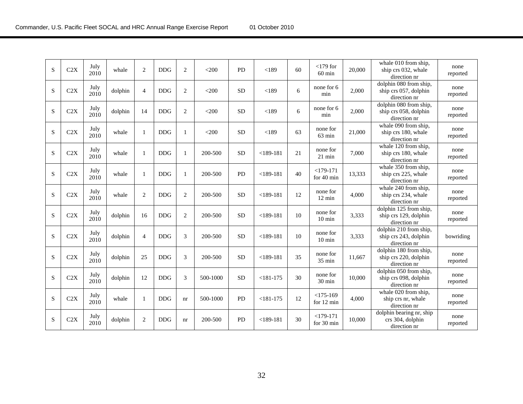| S | C2X | July<br>2010 | whale   | $\overline{2}$ | DDG        | $\mathbf{2}$   | $<$ 200  | PD        | < 189       | 60 | $<$ 179 for<br>$60 \text{ min}$ | 20,000 | whale 010 from ship,<br>ship crs 032, whale<br>direction nr     | none<br>reported |
|---|-----|--------------|---------|----------------|------------|----------------|----------|-----------|-------------|----|---------------------------------|--------|-----------------------------------------------------------------|------------------|
| S | C2X | July<br>2010 | dolphin | $\overline{4}$ | <b>DDG</b> | $\overline{c}$ | $<$ 200  | <b>SD</b> | < 189       | 6  | none for 6<br>min               | 2,000  | dolphin 080 from ship,<br>ship crs 057, dolphin<br>direction nr | none<br>reported |
| S | C2X | July<br>2010 | dolphin | 14             | <b>DDG</b> | 2              | $<$ 200  | <b>SD</b> | < 189       | 6  | none for 6<br>min               | 2,000  | dolphin 080 from ship,<br>ship crs 058, dolphin<br>direction nr | none<br>reported |
| S | C2X | July<br>2010 | whale   | $\mathbf{1}$   | <b>DDG</b> | $\mathbf{1}$   | $<$ 200  | <b>SD</b> | < 189       | 63 | none for<br>63 min              | 21,000 | whale 090 from ship,<br>ship crs 180, whale<br>direction nr     | none<br>reported |
| S | C2X | July<br>2010 | whale   | $\mathbf{1}$   | <b>DDG</b> | $\mathbf{1}$   | 200-500  | <b>SD</b> | $<$ 189-181 | 21 | none for<br>$21$ min            | 7,000  | whale 120 from ship,<br>ship crs 180, whale<br>direction nr     | none<br>reported |
| S | C2X | July<br>2010 | whale   | 1              | <b>DDG</b> | $\mathbf{1}$   | 200-500  | PD        | $<$ 189-181 | 40 | $<179-171$<br>for 40 min        | 13,333 | whale 350 from ship,<br>ship crs 225, whale<br>direction nr     | none<br>reported |
| S | C2X | July<br>2010 | whale   | $\overline{2}$ | <b>DDG</b> | 2              | 200-500  | <b>SD</b> | $<$ 189-181 | 12 | none for<br>$12 \text{ min}$    | 4.000  | whale $240$ from ship,<br>ship crs 234, whale<br>direction nr   | none<br>reported |
| S | C2X | July<br>2010 | dolphin | 16             | <b>DDG</b> | 2              | 200-500  | <b>SD</b> | $<$ 189-181 | 10 | none for<br>$10 \text{ min}$    | 3,333  | dolphin 125 from ship,<br>ship crs 129, dolphin<br>direction nr | none<br>reported |
| S | C2X | July<br>2010 | dolphin | $\overline{4}$ | <b>DDG</b> | 3              | 200-500  | <b>SD</b> | $<$ 189-181 | 10 | none for<br>$10 \text{ min}$    | 3,333  | dolphin 210 from ship,<br>ship crs 243, dolphin<br>direction nr | bowriding        |
| S | C2X | July<br>2010 | dolphin | 25             | <b>DDG</b> | 3              | 200-500  | <b>SD</b> | $<$ 189-181 | 35 | none for<br>$35 \text{ min}$    | 11.667 | dolphin 180 from ship,<br>ship crs 220, dolphin<br>direction nr | none<br>reported |
| S | C2X | July<br>2010 | dolphin | 12             | <b>DDG</b> | 3              | 500-1000 | <b>SD</b> | $<$ 181-175 | 30 | none for<br>30 min              | 10,000 | dolphin 050 from ship,<br>ship crs 098, dolphin<br>direction nr | none<br>reported |
| S | C2X | July<br>2010 | whale   | $\mathbf{1}$   | <b>DDG</b> | nr             | 500-1000 | PD        | $<$ 181-175 | 12 | $<$ 175-169<br>for 12 min       | 4,000  | whale 020 from ship,<br>ship crs nr, whale<br>direction nr      | none<br>reported |
| S | C2X | July<br>2010 | dolphin | $\mathbf{2}$   | <b>DDG</b> | nr             | 200-500  | <b>PD</b> | $<$ 189-181 | 30 | $<$ 179-171<br>for 30 min       | 10,000 | dolphin bearing nr, ship<br>crs 304, dolphin<br>direction nr    | none<br>reported |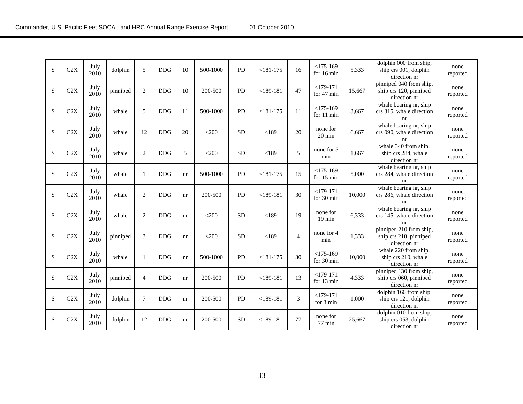| S         | C2X | July<br>2010 | dolphin  | 5              | <b>DDG</b> | 10 | 500-1000 | <b>PD</b> | $< 181 - 175$ | 16             | $<$ 175-169<br>for 16 min    | 5,333  | dolphin 000 from ship,<br>ship crs 001, dolphin<br>direction nr   | none<br>reported |
|-----------|-----|--------------|----------|----------------|------------|----|----------|-----------|---------------|----------------|------------------------------|--------|-------------------------------------------------------------------|------------------|
| S         | C2X | July<br>2010 | pinniped | $\overline{c}$ | <b>DDG</b> | 10 | 200-500  | <b>PD</b> | $<$ 189-181   | 47             | $<$ 179-171<br>for 47 min    | 15,667 | pinniped 040 from ship,<br>ship crs 120, pinniped<br>direction nr | none<br>reported |
| S         | C2X | July<br>2010 | whale    | 5              | <b>DDG</b> | 11 | 500-1000 | PD        | $< 181 - 175$ | 11             | $<$ 175-169<br>for 11 min    | 3,667  | whale bearing nr, ship<br>crs 315, whale direction<br>nr          | none<br>reported |
| S         | C2X | July<br>2010 | whale    | 12             | <b>DDG</b> | 20 | $<$ 200  | <b>SD</b> | < 189         | 20             | none for<br>$20 \text{ min}$ | 6.667  | whale bearing nr, ship<br>crs 090, whale direction<br>nr          | none<br>reported |
| S         | C2X | July<br>2010 | whale    | $\overline{2}$ | <b>DDG</b> | 5  | $<$ 200  | <b>SD</b> | < 189         | 5              | none for 5<br>min            | 1.667  | whale 340 from ship,<br>ship crs 284, whale<br>direction nr       | none<br>reported |
| S         | C2X | July<br>2010 | whale    | $\mathbf{1}$   | <b>DDG</b> | nr | 500-1000 | <b>PD</b> | $< 181 - 175$ | 15             | $<$ 175-169<br>for 15 min    | 5,000  | whale bearing nr, ship<br>crs 284, whale direction<br>nr          | none<br>reported |
| S         | C2X | July<br>2010 | whale    | $\overline{2}$ | <b>DDG</b> | nr | 200-500  | PD        | $<$ 189-181   | 30             | $<$ 179-171<br>for 30 min    | 10,000 | whale bearing nr, ship<br>crs 286, whale direction<br>nr          | none<br>reported |
| S         | C2X | July<br>2010 | whale    | $\mathbf{2}$   | <b>DDG</b> | nr | $<$ 200  | <b>SD</b> | < 189         | 19             | none for<br>$19$ min         | 6,333  | whale bearing nr, ship<br>crs 145, whale direction<br>nr          | none<br>reported |
| S         | C2X | July<br>2010 | pinniped | 3              | <b>DDG</b> | nr | $<$ 200  | <b>SD</b> | < 189         | $\overline{4}$ | none for 4<br>min            | 1,333  | pinniped 210 from ship,<br>ship crs 210, pinniped<br>direction nr | none<br>reported |
| S         | C2X | July<br>2010 | whale    | 1              | <b>DDG</b> | nr | 500-1000 | <b>PD</b> | $< 181 - 175$ | 30             | $<$ 175-169<br>for 30 min    | 10,000 | whale 220 from ship,<br>ship crs 210, whale<br>direction nr       | none<br>reported |
| S         | C2X | July<br>2010 | pinniped | $\overline{4}$ | <b>DDG</b> | nr | 200-500  | PD        | $<$ 189-181   | 13             | $<$ 179-171<br>for 13 min    | 4,333  | pinniped 130 from ship,<br>ship crs 060, pinniped<br>direction nr | none<br>reported |
| S         | C2X | July<br>2010 | dolphin  | 7              | <b>DDG</b> | nr | 200-500  | <b>PD</b> | $<$ 189-181   | 3              | $<$ 179-171<br>for 3 min     | 1.000  | dolphin 160 from ship,<br>ship crs 121, dolphin<br>direction nr   | none<br>reported |
| ${\bf S}$ | C2X | July<br>2010 | dolphin  | 12             | <b>DDG</b> | nr | 200-500  | <b>SD</b> | $<$ 189-181   | 77             | none for<br>$77 \text{ min}$ | 25,667 | dolphin 010 from ship,<br>ship crs 053, dolphin<br>direction nr   | none<br>reported |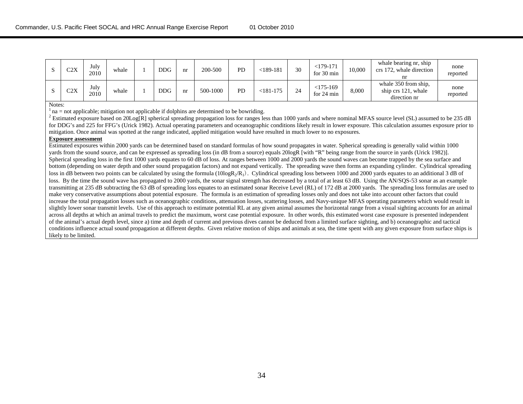| C2X | July<br>2010 | whale | <b>DDG</b> | nr | 200-500  | PD | <189-181    | 30 | $<$ 179-171<br>for $30 \text{ min}$ | 10,000 | whale bearing nr, ship<br>crs 172, whale direction<br>nr    | none<br>reported |
|-----|--------------|-------|------------|----|----------|----|-------------|----|-------------------------------------|--------|-------------------------------------------------------------|------------------|
| C2X | July<br>2010 | whale | <b>DDG</b> | nr | 500-1000 | PD | $<$ 181-175 | 24 | $<$ 175-169<br>for $24 \text{ min}$ | 8,000  | whale 350 from ship.<br>ship crs 121, whale<br>direction nr | none<br>reported |

Notes:

 $<sup>1</sup>$  na = not applicable; mitigation not applicable if dolphins are determined to be bowriding.</sup>

<sup>2</sup> Estimated exposure based on 20Log[R] spherical spreading propagation loss for ranges less than 1000 yards and where nominal MFAS source level (SL) assumed to be 235 dB for DDG's and 225 for FFG's (Urick 1982). Actual operating parameters and oceanographic conditions likely result in lower exposure. This calculation assumes exposure prior to mitigation. Once animal was spotted at the range indicated, applied mitigation would have resulted in much lower to no exposures.

#### **Exposure assessment**

Estimated exposures within 2000 yards can be determined based on standard formulas of how sound propagates in water. Spherical spreading is generally valid within 1000 yards from the sound source, and can be expressed as spreading loss (in dB from a source) equals 20logR [with "R" being range from the source in yards (Urick 1982)]. Spherical spreading loss in the first 1000 yards equates to 60 dB of loss. At ranges between 1000 and 2000 yards the sound waves can become trapped by the sea surface and bottom (depending on water depth and other sound propagation factors) and not expand vertically. The spreading wave then forms an expanding cylinder. Cylindrical spreading loss in dB between two points can be calculated by using the formula ( $10\log R<sub>2</sub>/R<sub>1</sub>$ ). Cylindrical spreading loss between 1000 and 2000 yards equates to an additional 3 dB of loss. By the time the sound wave has propagated to 2000 yards, the sonar signal strength has decreased by a total of at least 63 dB. Using the AN/SQS-53 sonar as an example transmitting at 235 dB subtracting the 63 dB of spreading loss equates to an estimated sonar Receive Level (RL) of 172 dB at 2000 yards. The spreading loss formulas are used to make very conservative assumptions about potential exposure. The formula is an estimation of spreading losses only and does not take into account other factors that could increase the total propagation losses such as oceanographic conditions, attenuation losses, scattering losses, and Navy-unique MFAS operating parameters which would result in slightly lower sonar transmit levels. Use of this approach to estimate potential RL at any given animal assumes the horizontal range from a visual sighting accounts for an animal across all depths at which an animal travels to predict the maximum, worst case potential exposure. In other words, this estimated worst case exposure is presented independent of the animal's actual depth level, since a) time and depth of current and previous dives cannot be deduced from a limited surface sighting, and b) oceanographic and tactical conditions influence actual sound propagation at different depths. Given relative motion of ships and animals at sea, the time spent with any given exposure from surface ships is likely to be limited.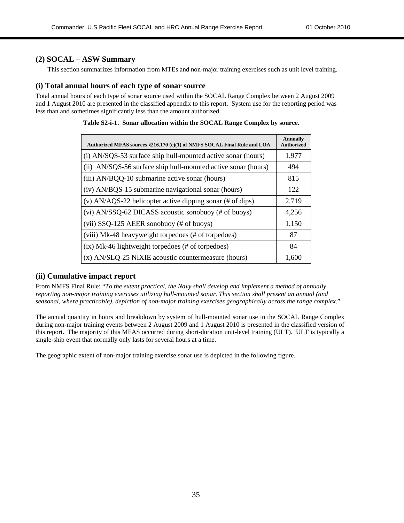#### **(2) SOCAL – ASW Summary**

This section summarizes information from MTEs and non-major training exercises such as unit level training.

#### **(i) Total annual hours of each type of sonar source**

Total annual hours of each type of sonar source used within the SOCAL Range Complex between 2 August 2009 and 1 August 2010 are presented in the classified appendix to this report. System use for the reporting period was less than and sometimes significantly less than the amount authorized.

| Authorized MFAS sources §216.170 (c)(1) of NMFS SOCAL Final Rule and LOA | <b>Annually</b><br><b>Authorized</b> |
|--------------------------------------------------------------------------|--------------------------------------|
| (i) AN/SQS-53 surface ship hull-mounted active sonar (hours)             | 1,977                                |
| (ii) AN/SQS-56 surface ship hull-mounted active sonar (hours)            | 494                                  |
| (iii) AN/BQQ-10 submarine active sonar (hours)                           | 815                                  |
| (iv) AN/BQS-15 submarine navigational sonar (hours)                      | 122                                  |
| (v) AN/AQS-22 helicopter active dipping sonar (# of dips)                | 2,719                                |
| (vi) AN/SSQ-62 DICASS acoustic sonobuoy (# of buoys)                     | 4,256                                |
| (vii) $SSQ-125$ AEER sonobuoy (# of buoys)                               | 1,150                                |
| (viii) Mk-48 heavyweight torpedoes (# of torpedoes)                      | 87                                   |
| (ix) Mk-46 lightweight torpedoes (# of torpedoes)                        | 84                                   |
| (x) AN/SLQ-25 NIXIE acoustic countermeasure (hours)                      | 1,600                                |

|  | Table S2-i-1. Sonar allocation within the SOCAL Range Complex by source. |  |
|--|--------------------------------------------------------------------------|--|
|  |                                                                          |  |

#### **(ii) Cumulative impact report**

From NMFS Final Rule: "*To the extent practical, the Navy shall develop and implement a method of annually reporting non-major training exercises utilizing hull-mounted sonar. This section shall present an annual (and seasonal, where practicable), depiction of non-major training exercises geographically across the range complex*."

The annual quantity in hours and breakdown by system of hull-mounted sonar use in the SOCAL Range Complex during non-major training events between 2 August 2009 and 1 August 2010 is presented in the classified version of this report. The majority of this MFAS occurred during short-duration unit-level training (ULT). ULT is typically a single-ship event that normally only lasts for several hours at a time.

The geographic extent of non-major training exercise sonar use is depicted in the following figure.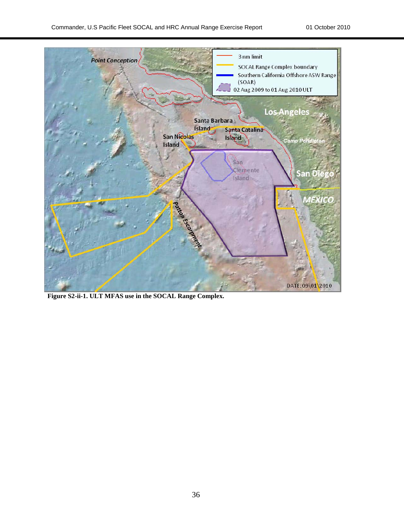

**Figure S2-ii-1. ULT MFAS use in the SOCAL Range Complex.**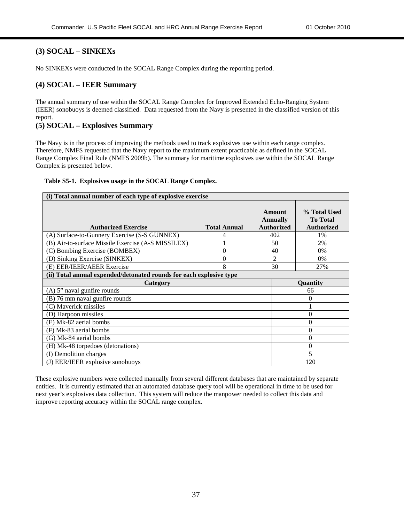#### **(3) SOCAL – SINKEXs**

No SINKEXs were conducted in the SOCAL Range Complex during the reporting period.

#### **(4) SOCAL – IEER Summary**

The annual summary of use within the SOCAL Range Complex for Improved Extended Echo-Ranging System (IEER) sonobuoys is deemed classified. Data requested from the Navy is presented in the classified version of this report.

#### **(5) SOCAL – Explosives Summary**

The Navy is in the process of improving the methods used to track explosives use within each range complex. Therefore, NMFS requested that the Navy report to the maximum extent practicable as defined in the SOCAL Range Complex Final Rule (NMFS 2009b). The summary for maritime explosives use within the SOCAL Range Complex is presented below.

|  | Table S5-1. Explosives usage in the SOCAL Range Complex. |  |  |  |
|--|----------------------------------------------------------|--|--|--|
|--|----------------------------------------------------------|--|--|--|

| (i) Total annual number of each type of explosive exercise          |                     |  |                                                |                                                      |  |  |  |  |  |
|---------------------------------------------------------------------|---------------------|--|------------------------------------------------|------------------------------------------------------|--|--|--|--|--|
| <b>Authorized Exercise</b>                                          | <b>Total Annual</b> |  | Amount<br><b>Annually</b><br><b>Authorized</b> | % Total Used<br><b>To Total</b><br><b>Authorized</b> |  |  |  |  |  |
| (A) Surface-to-Gunnery Exercise (S-S GUNNEX)                        | 4                   |  | 402                                            | 1%                                                   |  |  |  |  |  |
| (B) Air-to-surface Missile Exercise (A-S MISSILEX)                  |                     |  | 50                                             | 2%                                                   |  |  |  |  |  |
| (C) Bombing Exercise (BOMBEX)                                       | $\overline{0}$      |  | 40                                             | $0\%$                                                |  |  |  |  |  |
| (D) Sinking Exercise (SINKEX)                                       | $\overline{0}$      |  | $\overline{2}$                                 | $0\%$                                                |  |  |  |  |  |
| (E) EER/IEER/AEER Exercise                                          | 8                   |  | 30                                             | 27%                                                  |  |  |  |  |  |
| (ii) Total annual expended/detonated rounds for each explosive type |                     |  |                                                |                                                      |  |  |  |  |  |
| Category                                                            |                     |  |                                                | <b>Ouantity</b>                                      |  |  |  |  |  |
| $(A)$ 5" naval gunfire rounds                                       |                     |  |                                                | 66                                                   |  |  |  |  |  |
| (B) 76 mm naval gunfire rounds                                      |                     |  |                                                | 0                                                    |  |  |  |  |  |
| (C) Maverick missiles                                               |                     |  |                                                |                                                      |  |  |  |  |  |
| (D) Harpoon missiles                                                |                     |  |                                                | 0                                                    |  |  |  |  |  |
| (E) Mk-82 aerial bombs                                              |                     |  |                                                | 0                                                    |  |  |  |  |  |
| (F) Mk-83 aerial bombs                                              |                     |  |                                                | 0                                                    |  |  |  |  |  |
| (G) Mk-84 aerial bombs<br>0                                         |                     |  |                                                |                                                      |  |  |  |  |  |
| (H) Mk-48 torpedoes (detonations)                                   |                     |  |                                                | $\theta$                                             |  |  |  |  |  |
| (I) Demolition charges                                              |                     |  |                                                | 5                                                    |  |  |  |  |  |
| (J) EER/IEER explosive sonobuoys                                    |                     |  |                                                | 120                                                  |  |  |  |  |  |

These explosive numbers were collected manually from several different databases that are maintained by separate entities. It is currently estimated that an automated database query tool will be operational in time to be used for next year's explosives data collection. This system will reduce the manpower needed to collect this data and improve reporting accuracy within the SOCAL range complex.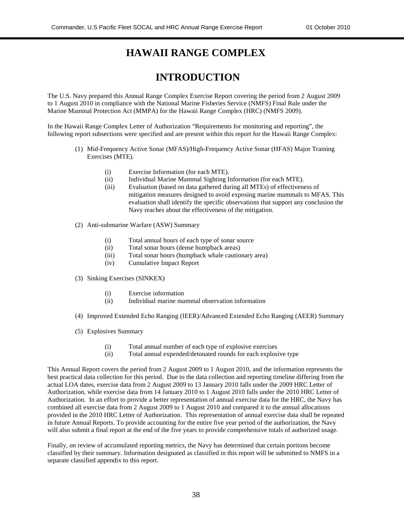### **HAWAII RANGE COMPLEX**

### **INTRODUCTION**

The U.S. Navy prepared this Annual Range Complex Exercise Report covering the period from 2 August 2009 to 1 August 2010 in compliance with the National Marine Fisheries Service (NMFS) Final Rule under the Marine Mammal Protection Act (MMPA) for the Hawaii Range Complex (HRC) (NMFS 2009).

In the Hawaii Range Complex Letter of Authorization "Requirements for monitoring and reporting", the following report subsections were specified and are present within this report for the Hawaii Range Complex:

- (1) Mid-Frequency Active Sonar (MFAS)/High-Frequency Active Sonar (HFAS) Major Training Exercises (MTE).
	- (i) Exercise Information (for each MTE).
	- (ii) Individual Marine Mammal Sighting Information (for each MTE).
	- (iii) Evaluation (based on data gathered during all MTEs) of effectiveness of mitigation measures designed to avoid exposing marine mammals to MFAS. This evaluation shall identify the specific observations that support any conclusion the Navy reaches about the effectiveness of the mitigation.
- (2) Anti-submarine Warfare (ASW) Summary
	- (i) Total annual hours of each type of sonar source
	- (ii) Total sonar hours (dense humpback areas)
	- (iii) Total sonar hours (humpback whale cautionary area)
	- (iv) Cumulative Impact Report
- (3) Sinking Exercises (SINKEX)
	- (i) Exercise information
	- (ii) Individual marine mammal observation information
- (4) Improved Extended Echo Ranging (IEER)/Advanced Extended Echo Ranging (AEER) Summary
- (5) Explosives Summary
	- (i) Total annual number of each type of explosive exercises
	- (ii) Total annual expended/detonated rounds for each explosive type

This Annual Report covers the period from 2 August 2009 to 1 August 2010, and the information represents the best practical data collection for this period. Due to the data collection and reporting timeline differing from the actual LOA dates, exercise data from 2 August 2009 to 13 January 2010 falls under the 2009 HRC Letter of Authorization, while exercise data from 14 January 2010 to 1 August 2010 falls under the 2010 HRC Letter of Authorization. In an effort to provide a better representation of annual exercise data for the HRC, the Navy has combined all exercise data from 2 August 2009 to 1 August 2010 and compared it to the annual allocations provided in the 2010 HRC Letter of Authorization. This representation of annual exercise data shall be repeated in future Annual Reports. To provide accounting for the entire five year period of the authorization, the Navy will also submit a final report at the end of the five years to provide comprehensive totals of authorized usage.

Finally, on review of accumulated reporting metrics, the Navy has determined that certain portions become classified by their summary. Information designated as classified in this report will be submitted to NMFS in a separate classified appendix to this report.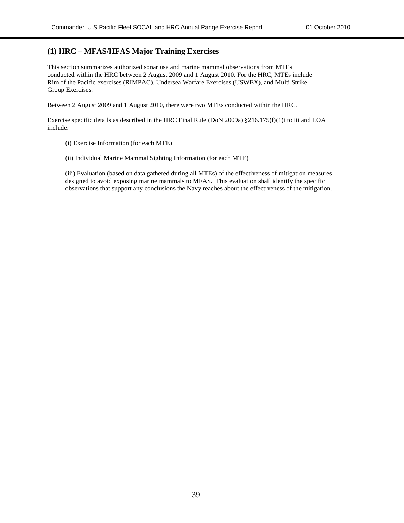#### **(1) HRC – MFAS/HFAS Major Training Exercises**

This section summarizes authorized sonar use and marine mammal observations from MTEs conducted within the HRC between 2 August 2009 and 1 August 2010. For the HRC, MTEs include Rim of the Pacific exercises (RIMPAC), Undersea Warfare Exercises (USWEX), and Multi Strike Group Exercises.

Between 2 August 2009 and 1 August 2010, there were two MTEs conducted within the HRC.

Exercise specific details as described in the HRC Final Rule (DoN 2009a) §216.175(f)(1)i to iii and LOA include:

- (i) Exercise Information (for each MTE)
- (ii) Individual Marine Mammal Sighting Information (for each MTE)

(iii) Evaluation (based on data gathered during all MTEs) of the effectiveness of mitigation measures designed to avoid exposing marine mammals to MFAS. This evaluation shall identify the specific observations that support any conclusions the Navy reaches about the effectiveness of the mitigation.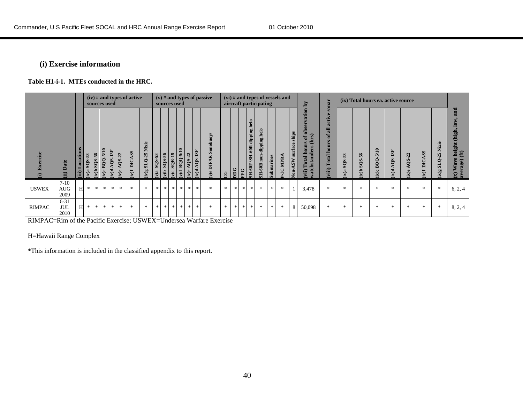#### **(i) Exercise information**

**Table H1-i-1. MTEs conducted in the HRC.**

|                                    |                                |       |                           |                          | sources used                   |                      |                                | $(iv)$ # and types of active |                         |                                              | sources used             |                                       |                                                   |                                |                        | $(v)$ # and types of passive                |           |            |    |                                                   | aircraft participating                            |               | (vi) # and types of vessels and |                                 | $\tilde{\mathbf{q}}$                                             | sonar                                                           |                 | (ix) Total hours ea. active source |                   |                |                |                     |                           |                                                                      |
|------------------------------------|--------------------------------|-------|---------------------------|--------------------------|--------------------------------|----------------------|--------------------------------|------------------------------|-------------------------|----------------------------------------------|--------------------------|---------------------------------------|---------------------------------------------------|--------------------------------|------------------------|---------------------------------------------|-----------|------------|----|---------------------------------------------------|---------------------------------------------------|---------------|---------------------------------|---------------------------------|------------------------------------------------------------------|-----------------------------------------------------------------|-----------------|------------------------------------|-------------------|----------------|----------------|---------------------|---------------------------|----------------------------------------------------------------------|
| Exercise<br>$\widehat{\mathbf{d}}$ | Date<br>(ii)                   | (iii) | 53<br><b>SQS</b><br>(iv)a | 56<br><b>SOS</b><br>d(v) | $-5/10$<br><b>BQQ</b><br>(iv)c | 13F<br>AQS.<br>(iv)d | 22<br>SO <sub>V</sub><br>(iv)e | ASS<br>DIC.<br>$i(v)$ f      | Nixie<br>$3x$ - $Q$ -25 | SQS-56<br>SQS-56<br>$\mathbf{g}(\mathbf{v})$ | $\mathbf{f}(\mathbf{x})$ | $\ddot{ }$<br>SQR.<br>$\mathbf{v}$ )c | $-5/10$<br><b>BQQ</b><br>$\mathbf{p}(\mathbf{A})$ | 22<br>AQ <sub>S</sub><br>(iv)e | <b>QS-13F</b><br>(iv)d | ys<br>Son<br>$\overline{AB}$<br>$(v)e$ DIF. | <b>SC</b> | <b>DOC</b> | EG | helo<br>dipping<br><b>SH-60R</b><br><b>SH-60F</b> | helo<br>dipping<br>non<br>${\bf SH{\text{-}60B}}$ | Submarines    | P-3C MPRA                       | ships<br><b>Jon-ASW</b> surface | ation<br>응<br>(hrs)<br>ă<br>hou<br>vatchstander<br>Total<br>vii) | active<br>$\overline{a}$<br>ቴ<br>hours<br><b>Total</b><br>viii) | SQS-53<br>(ix)a | SQS-56<br>d(x)                     | BQQ-5/10<br>(ix)c | QS-13F<br>ix)d | AQS-22<br>ix)e | ASS<br>DIC.<br>f(x) | Nixie<br>$SLQ-25$<br>g(x) | and<br>height (high,<br>f(t)<br>ave<br>erage)<br>₹<br>$\mathbb{R}^n$ |
| <b>USWEX</b>                       | $7-10$<br><b>AUG</b><br>2009   | H     | $\ast$                    | $*$                      | $\ast$                         | - 米 1                | $\star$                        | $\ast$                       | $\ast$                  | $*$                                          | $\frac{1}{2}$            | $*$                                   | ж І                                               | 宋                              | $\star$                | $\pm$                                       | *         | $\ast$     | 宋  | $*$                                               | $\frac{1}{2}$                                     | $\frac{1}{2}$ | $*$                             |                                 | 3,478                                                            | $\ast$                                                          | $\star$         | $\star$                            | 金                 | $\frac{1}{20}$ | $*$            | $\ast$              | 宋                         | 6, 2, 4                                                              |
| <b>RIMPAC</b>                      | $6 - 31$<br><b>JUL</b><br>2010 | H     | $\ast$                    | $*$                      | $\gg$                          | $*$                  | $*$                            | $\ast$                       | $\ast$                  | $\ast$                                       | $\ast$                   | $\ast$                                | $\ast$                                            | $\ast$                         | $\ast$                 | $\ast$                                      | $\gg$     | $*$        | 米  | $*$                                               | $\frac{1}{2}$                                     | $\ast$        | $\ast$                          | 8                               | 50,098                                                           | $*$                                                             | $\ast$          | $*$                                | 金                 | 宋              | $*$            | $\ast$              | 宋                         | 8, 2, 4                                                              |

RIMPAC=Rim of the Pacific Exercise; USWEX=Undersea Warfare Exercise

H=Hawaii Range Complex

\*This information is included in the classified appendix to this report.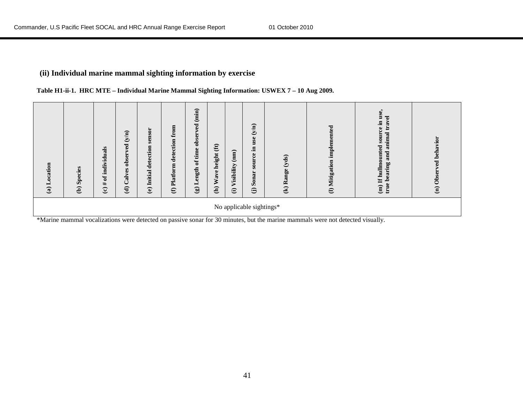### **(ii) Individual marine mammal sighting information by exercise**

|  | Table H1-ii-1. HRC MTE - Individual Marine Mammal Sighting Information: USWEX 7 - 10 Aug 2009. |  |  |  |
|--|------------------------------------------------------------------------------------------------|--|--|--|
|  |                                                                                                |  |  |  |

| Location<br>$\mathbf{G}$ | Species<br>$\widehat{e}$ | of individuals<br>$f(\mathbf{c})$ | (y/n)<br>$\overline{\mathbf{g}}$<br>5<br>$\delta$ bs<br>6S<br>$\frac{1}{2}$<br>ن<br>$\widehat{\mathbf{e}}$ | senso<br>$\overline{a}$<br>detecti<br>Initial<br>$\mathbf{\widehat{e}}$ | from<br>detection<br>Platform<br>$\oplus$ | (imin)<br>ved<br>obser<br>of time<br>(g) Length | $\bigoplus$<br>height<br>ave<br>ጆ<br>$\widehat{a}$ | (mm)<br>Visibility<br>$\widehat{\Theta}$ | (y/n)<br><b>use</b><br>Ξ.<br>source<br>Sonar<br>$\widehat{\Theta}$ | (yds)<br>Range<br>$\mathbf{\widehat{\Xi}}$ | implemented<br>(l) Mitigation | $\bullet$<br><b>use</b><br>$\overline{a}$<br>Ξ.<br>$\bullet$<br>imal<br><b>SOUT</b><br>an<br>g<br>hullmount<br>ರ<br>≘<br>ಡ<br>Ξ<br>Έ<br>۲<br>$\mathbf{H}$<br>¢<br>$\mathbf{a}$<br>ŧ. | behavior<br>g<br>Obs<br>$\mathbf{\hat{e}}$ |
|--------------------------|--------------------------|-----------------------------------|------------------------------------------------------------------------------------------------------------|-------------------------------------------------------------------------|-------------------------------------------|-------------------------------------------------|----------------------------------------------------|------------------------------------------|--------------------------------------------------------------------|--------------------------------------------|-------------------------------|--------------------------------------------------------------------------------------------------------------------------------------------------------------------------------------|--------------------------------------------|
| $  -$                    |                          |                                   |                                                                                                            |                                                                         |                                           |                                                 |                                                    |                                          | No applicable sightings*                                           |                                            |                               |                                                                                                                                                                                      |                                            |

\*Marine mammal vocalizations were detected on passive sonar for 30 minutes, but the marine mammals were not detected visually.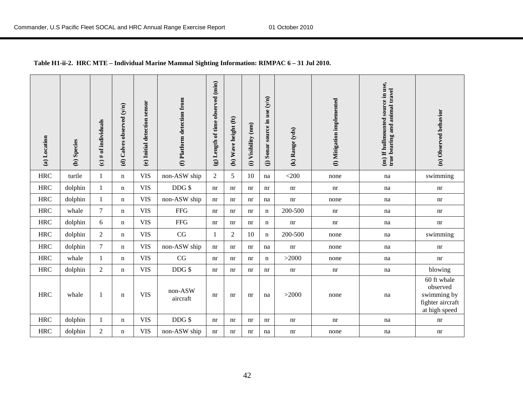| (a) Location | (b) Species | (c) # of individuals | (d) Calves observed (y/n) | (e) Initial detection sensor | (f) Platform detection from | (g) Length of time observed (min) | (h) Wave height (ft) | (i) Visibility (nm) | (j) Sonar source in use $(y/n)$ | (k) Range (yds) | (1) Mitigation implemented | (m) If hullmounted source in use,<br>true bearing and animal travel | (n) Observed behavior                                                       |
|--------------|-------------|----------------------|---------------------------|------------------------------|-----------------------------|-----------------------------------|----------------------|---------------------|---------------------------------|-----------------|----------------------------|---------------------------------------------------------------------|-----------------------------------------------------------------------------|
| <b>HRC</b>   | turtle      | $\mathbf{1}$         | n                         | <b>VIS</b>                   | non-ASW ship                | $\overline{2}$                    | 5                    | 10                  | na                              | $<$ 200         | none                       | na                                                                  | swimming                                                                    |
| <b>HRC</b>   | dolphin     | $\,1$                | n                         | <b>VIS</b>                   | DDG \$                      | nr                                | nr                   | nr                  | nr                              | nr              | nr                         | na                                                                  | nr                                                                          |
| <b>HRC</b>   | dolphin     | 1                    | n                         | <b>VIS</b>                   | non-ASW ship                | nr                                | nr                   | nr                  | na                              | nr              | none                       | na                                                                  | nr                                                                          |
| <b>HRC</b>   | whale       | $\tau$               | n                         | <b>VIS</b>                   | <b>FFG</b>                  | nr                                | nr                   | nr                  | $\mathbf n$                     | 200-500         | nr                         | na                                                                  | nr                                                                          |
| <b>HRC</b>   | dolphin     | 6                    | n                         | <b>VIS</b>                   | <b>FFG</b>                  | nr                                | nr                   | nr                  | n                               | nr              | nr                         | na                                                                  | nr                                                                          |
| <b>HRC</b>   | dolphin     | $\overline{c}$       | n                         | <b>VIS</b>                   | CG                          | 1                                 | $\mathbf{2}$         | 10                  | $\mathbf n$                     | 200-500         | none                       | na                                                                  | swimming                                                                    |
| <b>HRC</b>   | dolphin     | $\overline{7}$       | n                         | <b>VIS</b>                   | non-ASW ship                | nr                                | nr                   | nr                  | na                              | nr              | none                       | na                                                                  | nr                                                                          |
| <b>HRC</b>   | whale       | 1                    | n                         | <b>VIS</b>                   | CG                          | nr                                | nr                   | nr                  | n                               | >2000           | none                       | na                                                                  | nr                                                                          |
| <b>HRC</b>   | dolphin     | $\overline{c}$       | n                         | <b>VIS</b>                   | DDG \$                      | nr                                | nr                   | nr                  | nr                              | nr              | nr                         | na                                                                  | blowing                                                                     |
| <b>HRC</b>   | whale       | 1                    | n                         | <b>VIS</b>                   | non-ASW<br>aircraft         | nr                                | nr                   | nr                  | na                              | >2000           | none                       | $\operatorname{na}$                                                 | 60 ft whale<br>observed<br>swimming by<br>fighter aircraft<br>at high speed |
| <b>HRC</b>   | dolphin     | $\mathbf{1}$         | n                         | <b>VIS</b>                   | DDG\$                       | nr                                | nr                   | nr                  | nr                              | nr              | nr                         | na                                                                  | nr                                                                          |
| <b>HRC</b>   | dolphin     | $\overline{2}$       | n                         | <b>VIS</b>                   | non-ASW ship                | nr                                | nr                   | nr                  | na                              | nr              | none                       | na                                                                  | nr                                                                          |

#### **Table H1-ii-2. HRC MTE – Individual Marine Mammal Sighting Information: RIMPAC 6 – 31 Jul 2010.**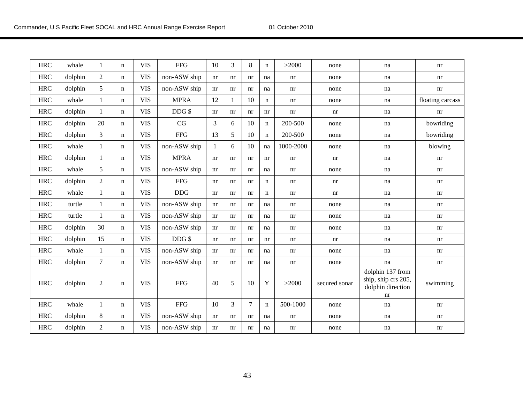| <b>HRC</b> | whale   | 1              | n           | <b>VIS</b> | <b>FFG</b>   | 10           | 3  | 8      | $\mathbf n$ | >2000                      | none          | na                                                                 | nr                         |
|------------|---------|----------------|-------------|------------|--------------|--------------|----|--------|-------------|----------------------------|---------------|--------------------------------------------------------------------|----------------------------|
| <b>HRC</b> | dolphin | $\overline{2}$ | n           | <b>VIS</b> | non-ASW ship | nr           | nr | nr     | na          | nr                         | none          | na                                                                 | nr                         |
| <b>HRC</b> | dolphin | 5              | n           | <b>VIS</b> | non-ASW ship | nr           | nr | nr     | na          | nr                         | none          | na                                                                 | nr                         |
| <b>HRC</b> | whale   | $\mathbf{1}$   | n           | <b>VIS</b> | <b>MPRA</b>  | 12           |    | 10     | $\mathbf n$ | nr                         | none          | na                                                                 | floating carcass           |
| <b>HRC</b> | dolphin | $\mathbf{1}$   | n           | <b>VIS</b> | DDG \$       | nr           | nr | nr     | nr          | nr                         | nr            | na                                                                 | $\mathop{\rm nr}\nolimits$ |
| <b>HRC</b> | dolphin | 20             | n           | <b>VIS</b> | CG           | 3            | 6  | 10     | n           | 200-500                    | none          | na                                                                 | bowriding                  |
| <b>HRC</b> | dolphin | 3              | $\mathbf n$ | <b>VIS</b> | ${\rm FFG}$  | 13           | 5  | 10     | $\mathbf n$ | 200-500                    | none          | na                                                                 | bowriding                  |
| <b>HRC</b> | whale   | $\mathbf{1}$   | n           | <b>VIS</b> | non-ASW ship | $\mathbf{1}$ | 6  | 10     | na          | 1000-2000                  | none          | na                                                                 | blowing                    |
| <b>HRC</b> | dolphin | $\mathbf{1}$   | n           | <b>VIS</b> | <b>MPRA</b>  | nr           | nr | nr     | nr          | nr                         | nr            | na                                                                 | nr                         |
| <b>HRC</b> | whale   | 5              | $\mathbf n$ | <b>VIS</b> | non-ASW ship | nr           | nr | nr     | na          | nr                         | none          | na                                                                 | nr                         |
| <b>HRC</b> | dolphin | $\sqrt{2}$     | $\mathbf n$ | <b>VIS</b> | <b>FFG</b>   | nr           | nr | nr     | n           | nr                         | nr            | na                                                                 | nr                         |
| <b>HRC</b> | whale   | $\mathbf{1}$   | n           | <b>VIS</b> | <b>DDG</b>   | nr           | nr | nr     | n           | nr                         | nr            | na                                                                 | nr                         |
| <b>HRC</b> | turtle  | $\mathbf{1}$   | n           | <b>VIS</b> | non-ASW ship | nr           | nr | nr     | na          | nr                         | none          | na                                                                 | nr                         |
| <b>HRC</b> | turtle  | 1              | $\mathbf n$ | <b>VIS</b> | non-ASW ship | nr           | nr | nr     | na          | $\mathop{\rm nr}\nolimits$ | none          | na                                                                 | nr                         |
| <b>HRC</b> | dolphin | 30             | n           | <b>VIS</b> | non-ASW ship | nr           | nr | nr     | na          | nr                         | none          | na                                                                 | nr                         |
| <b>HRC</b> | dolphin | 15             | n           | <b>VIS</b> | $DDG$ \$     | nr           | nr | nr     | nr          | nr                         | nr            | na                                                                 | nr                         |
| <b>HRC</b> | whale   | $\mathbf{1}$   | n           | <b>VIS</b> | non-ASW ship | nr           | nr | nr     | na          | nr                         | none          | na                                                                 | nr                         |
| <b>HRC</b> | dolphin | $\overline{7}$ | $\mathbf n$ | <b>VIS</b> | non-ASW ship | nr           | nr | nr     | na          | nr                         | none          | na                                                                 | $\mathop{\rm nr}\nolimits$ |
| <b>HRC</b> | dolphin | $\sqrt{2}$     | n           | <b>VIS</b> | <b>FFG</b>   | 40           | 5  | 10     | Y           | >2000                      | secured sonar | dolphin 137 from<br>ship, ship crs 205,<br>dolphin direction<br>nr | swimming                   |
| <b>HRC</b> | whale   | $\mathbf{1}$   | n           | <b>VIS</b> | <b>FFG</b>   | 10           | 3  | $\tau$ | $\mathbf n$ | 500-1000                   | none          | na                                                                 | nr                         |
| <b>HRC</b> | dolphin | $\,8\,$        | n           | <b>VIS</b> | non-ASW ship | nr           | nr | nr     | na          | nr                         | none          | na                                                                 | nr                         |
| <b>HRC</b> | dolphin | $\sqrt{2}$     | n           | <b>VIS</b> | non-ASW ship | nr           | nr | nr     | na          | nr                         | none          | na                                                                 | nr                         |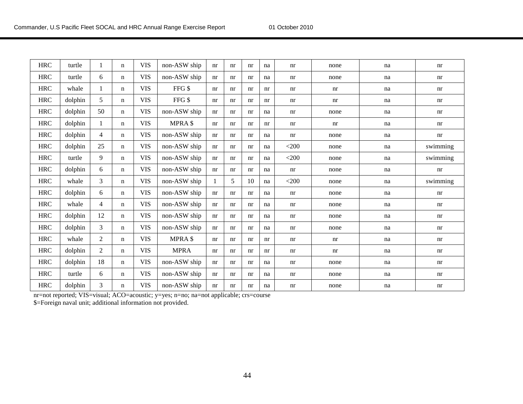| <b>HRC</b> | turtle  | 1              | n | <b>VIS</b> | non-ASW ship | nr | nr | nr | na | nr      | none | na | nr       |
|------------|---------|----------------|---|------------|--------------|----|----|----|----|---------|------|----|----------|
| <b>HRC</b> | turtle  | 6              | n | <b>VIS</b> | non-ASW ship | nr | nr | nr | na | nr      | none | na | nr       |
| <b>HRC</b> | whale   | 1              | n | <b>VIS</b> | FFG \$       | nr | nr | nr | nr | nr      | nr   | na | nr       |
| <b>HRC</b> | dolphin | 5              | n | <b>VIS</b> | FFG \$       | nr | nr | nr | nr | nr      | nr   | na | nr       |
| <b>HRC</b> | dolphin | 50             | n | <b>VIS</b> | non-ASW ship | nr | nr | nr | na | nr      | none | na | nr       |
| <b>HRC</b> | dolphin | 1              | n | <b>VIS</b> | MPRA \$      | nr | nr | nr | nr | nr      | nr   | na | nr       |
| <b>HRC</b> | dolphin | 4              | n | <b>VIS</b> | non-ASW ship | nr | nr | nr | na | nr      | none | na | nr       |
| <b>HRC</b> | dolphin | 25             | n | <b>VIS</b> | non-ASW ship | nr | nr | nr | na | $<$ 200 | none | na | swimming |
| <b>HRC</b> | turtle  | 9              | n | <b>VIS</b> | non-ASW ship | nr | nr | nr | na | $<$ 200 | none | na | swimming |
| <b>HRC</b> | dolphin | 6              | n | <b>VIS</b> | non-ASW ship | nr | nr | nr | na | nr      | none | na | nr       |
| <b>HRC</b> | whale   | $\overline{3}$ | n | <b>VIS</b> | non-ASW ship | 1  | 5  | 10 | na | $<$ 200 | none | na | swimming |
| <b>HRC</b> | dolphin | 6              | n | <b>VIS</b> | non-ASW ship | nr | nr | nr | na | nr      | none | na | nr       |
| <b>HRC</b> | whale   | 4              | n | <b>VIS</b> | non-ASW ship | nr | nr | nr | na | nr      | none | na | nr       |
| <b>HRC</b> | dolphin | 12             | n | <b>VIS</b> | non-ASW ship | nr | nr | nr | na | nr      | none | na | nr       |
| <b>HRC</b> | dolphin | 3              | n | <b>VIS</b> | non-ASW ship | nr | nr | nr | na | nr      | none | na | nr       |
| <b>HRC</b> | whale   | $\overline{2}$ | n | <b>VIS</b> | MPRA \$      | nr | nr | nr | nr | nr      | nr   | na | nr       |
| <b>HRC</b> | dolphin | $\overline{2}$ | n | <b>VIS</b> | <b>MPRA</b>  | nr | nr | nr | nr | nr      | nr   | na | nr       |
| <b>HRC</b> | dolphin | 18             | n | <b>VIS</b> | non-ASW ship | nr | nr | nr | na | nr      | none | na | nr       |
| <b>HRC</b> | turtle  | 6              | n | <b>VIS</b> | non-ASW ship | nr | nr | nr | na | nr      | none | na | nr       |
| <b>HRC</b> | dolphin | 3              | n | <b>VIS</b> | non-ASW ship | nr | nr | nr | na | nr      | none | na | nr       |

nr=not reported; VIS=visual; ACO=acoustic; y=yes; n=no; na=not applicable; crs=course

\$=Foreign naval unit; additional information not provided.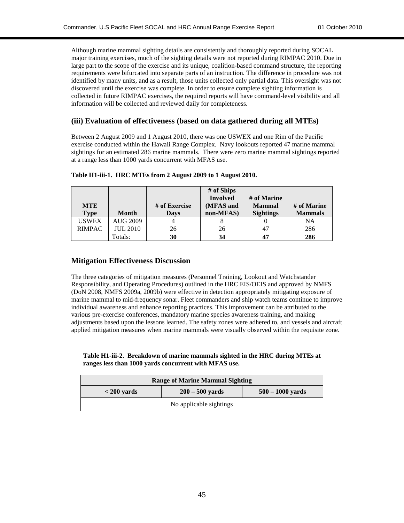Although marine mammal sighting details are consistently and thoroughly reported during SOCAL major training exercises, much of the sighting details were not reported during RIMPAC 2010. Due in large part to the scope of the exercise and its unique, coalition-based command structure, the reporting requirements were bifurcated into separate parts of an instruction. The difference in procedure was not identified by many units, and as a result, those units collected only partial data. This oversight was not discovered until the exercise was complete. In order to ensure complete sighting information is collected in future RIMPAC exercises, the required reports will have command-level visibility and all information will be collected and reviewed daily for completeness.

#### **(iii) Evaluation of effectiveness (based on data gathered during all MTEs)**

Between 2 August 2009 and 1 August 2010, there was one USWEX and one Rim of the Pacific exercise conducted within the Hawaii Range Complex. Navy lookouts reported 47 marine mammal sightings for an estimated 286 marine mammals. There were zero marine mammal sightings reported at a range less than 1000 yards concurrent with MFAS use.

| <b>MTE</b>    |                 | # of Exercise | # of Ships<br><b>Involved</b><br>(MFAS and | # of Marine<br><b>Mammal</b> | # of Marine    |
|---------------|-----------------|---------------|--------------------------------------------|------------------------------|----------------|
| <b>Type</b>   | Month           | <b>Days</b>   | non-MFAS)                                  | <b>Sightings</b>             | <b>Mammals</b> |
| <b>USWEX</b>  | <b>AUG 2009</b> |               |                                            |                              | NA             |
| <b>RIMPAC</b> | <b>JUL 2010</b> | 26            | 26                                         | 47                           | 286            |
|               | Totals:         | 30            | 34                                         | 47                           | 286            |

**Table H1-iii-1. HRC MTEs from 2 August 2009 to 1 August 2010.**

#### **Mitigation Effectiveness Discussion**

The three categories of mitigation measures (Personnel Training, Lookout and Watchstander Responsibility, and Operating Procedures) outlined in the HRC EIS/OEIS and approved by NMFS (DoN 2008, NMFS 2009a, 2009b) were effective in detection appropriately mitigating exposure of marine mammal to mid-frequency sonar. Fleet commanders and ship watch teams continue to improve individual awareness and enhance reporting practices. This improvement can be attributed to the various pre-exercise conferences, mandatory marine species awareness training, and making adjustments based upon the lessons learned. The safety zones were adhered to, and vessels and aircraft applied mitigation measures when marine mammals were visually observed within the requisite zone.

**Table H1-iii-2. Breakdown of marine mammals sighted in the HRC during MTEs at ranges less than 1000 yards concurrent with MFAS use.**

|                         | <b>Range of Marine Mammal Sighting</b>  |  |  |  |  |  |  |  |  |  |
|-------------------------|-----------------------------------------|--|--|--|--|--|--|--|--|--|
| $<$ 200 yards           | $200 - 500$ yards<br>$500 - 1000$ vards |  |  |  |  |  |  |  |  |  |
| No applicable sightings |                                         |  |  |  |  |  |  |  |  |  |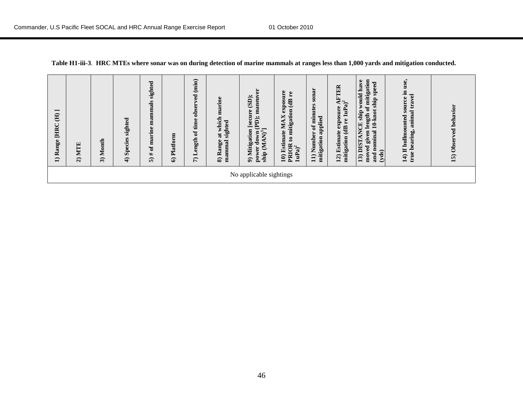| $\overline{\phantom{0}}$<br>$\oplus$<br><b>HRC</b><br>$\bullet$<br>ang<br>≊<br>$\widehat{\phantom{a}}$ | <b>MTE</b><br>$\widehat{\mathbf{a}}$ | Month<br>ನಿ | sighted<br>Species<br>$\widehat{\mathbf{f}}$ | sighted<br>ammals<br>Е<br>$\bullet$<br>marin<br>$\mathbf{d}$<br>#<br>ົດ | Platform<br>ତ | (imin)<br>g<br>obser<br>time<br>ð<br>ength<br>⊣<br>$\widehat{r}$ | at which marine<br>sighted<br>Range<br>mammal<br>ଛ | ä<br>maneuv<br>(SD);<br>[secure<br>(PD);<br>$\overline{\mathbf{N}}^1$<br>9) Mitigation<br>down<br>$\mathfrak{A}$<br>power<br>ship | exposure<br>$\mathbf{r}$ e<br><b>ED</b><br>to mitigation<br>×<br>МA<br>10) Estimate<br>PRIOR<br>1uPa) <sup>2</sup> | sonar<br>minutes<br>applied<br>$\mathfrak{o}\mathfrak{t}$<br>11) Number<br>mitigation | <b>AFTER</b><br>$1uPa)^2$<br>exposure<br>re<br>mitigation (dB<br>Estimate<br>12) | mitigation<br>would have<br>speed<br>ship<br>$\mathfrak{o}\mathfrak{t}$<br>$10$ - $kmot$<br>13) DISTANCE ship<br>length<br>nominal<br>ven<br>ā<br>moved<br>(yds)<br>and | $\bullet$<br>use.<br>source in<br>travel<br>animal<br>14) If hullmounted<br>bearing,<br>true | behavior<br>$\mathbf{g}$<br>Observ<br>15) |
|--------------------------------------------------------------------------------------------------------|--------------------------------------|-------------|----------------------------------------------|-------------------------------------------------------------------------|---------------|------------------------------------------------------------------|----------------------------------------------------|-----------------------------------------------------------------------------------------------------------------------------------|--------------------------------------------------------------------------------------------------------------------|---------------------------------------------------------------------------------------|----------------------------------------------------------------------------------|-------------------------------------------------------------------------------------------------------------------------------------------------------------------------|----------------------------------------------------------------------------------------------|-------------------------------------------|
|                                                                                                        |                                      |             |                                              |                                                                         |               |                                                                  |                                                    | No applicable sightings                                                                                                           |                                                                                                                    |                                                                                       |                                                                                  |                                                                                                                                                                         |                                                                                              |                                           |

|  |  | Table H1-iii-3. HRC MTEs where sonar was on during detection of marine mammals at ranges less than 1,000 yards and mitigation conducted. |
|--|--|------------------------------------------------------------------------------------------------------------------------------------------|
|  |  |                                                                                                                                          |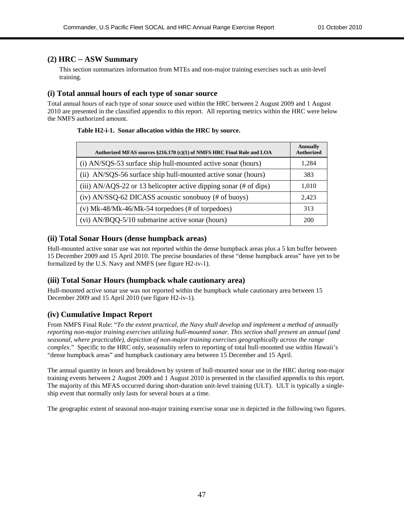#### **(2) HRC** – **ASW Summary**

This section summarizes information from MTEs and non-major training exercises such as unit-level training.

#### **(i) Total annual hours of each type of sonar source**

Total annual hours of each type of sonar source used within the HRC between 2 August 2009 and 1 August 2010 are presented in the classified appendix to this report. All reporting metrics within the HRC were below the NMFS authorized amount.

#### **Table H2-i-1. Sonar allocation within the HRC by source.**

| Authorized MFAS sources §216.170 (c)(1) of NMFS HRC Final Rule and LOA | Annually<br><b>Authorized</b> |
|------------------------------------------------------------------------|-------------------------------|
| (i) AN/SQS-53 surface ship hull-mounted active sonar (hours)           | 1,284                         |
| (ii) AN/SQS-56 surface ship hull-mounted active sonar (hours)          | 383                           |
| (iii) $AN/AGS-22$ or 13 helicopter active dipping sonar (# of dips)    | 1,010                         |
| (iv) AN/SSQ-62 DICASS acoustic sonobuoy (# of buoys)                   | 2,423                         |
| (v) Mk-48/Mk-46/Mk-54 torpedoes (# of torpedoes)                       | 313                           |
| (vi) AN/BQQ-5/10 submarine active sonar (hours)                        | 200                           |

#### **(ii) Total Sonar Hours (dense humpback areas)**

Hull-mounted active sonar use was not reported within the dense humpback areas plus a 5 km buffer between 15 December 2009 and 15 April 2010. The precise boundaries of these "dense humpback areas" have yet to be formalized by the U.S. Navy and NMFS (see figure H2-iv-1).

#### **(iii) Total Sonar Hours (humpback whale cautionary area)**

Hull-mounted active sonar use was not reported within the humpback whale cautionary area between 15 December 2009 and 15 April 2010 (see figure H2-iv-1).

#### **(iv) Cumulative Impact Report**

From NMFS Final Rule: "*To the extent practical, the Navy shall develop and implement a method of annually reporting non-major training exercises utilizing hull-mounted sonar. This section shall present an annual (and seasonal, where practicable), depiction of non-major training exercises geographically across the range complex*." Specific to the HRC only, seasonality refers to reporting of total hull-mounted use within Hawaii's "dense humpback areas" and humpback cautionary area between 15 December and 15 April.

The annual quantity in hours and breakdown by system of hull-mounted sonar use in the HRC during non-major training events between 2 August 2009 and 1 August 2010 is presented in the classified appendix to this report. The majority of this MFAS occurred during short-duration unit-level training (ULT). ULT is typically a singleship event that normally only lasts for several hours at a time.

The geographic extent of seasonal non-major training exercise sonar use is depicted in the following two figures.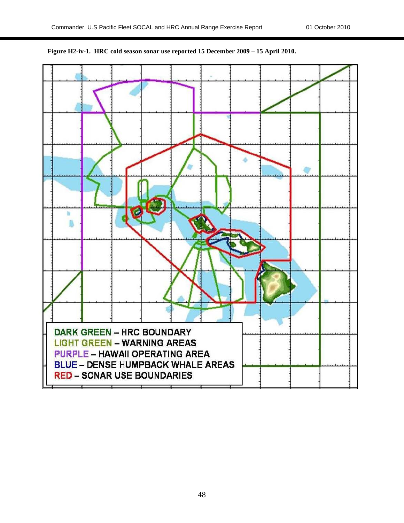

**Figure H2-iv-1. HRC cold season sonar use reported 15 December 2009 – 15 April 2010.**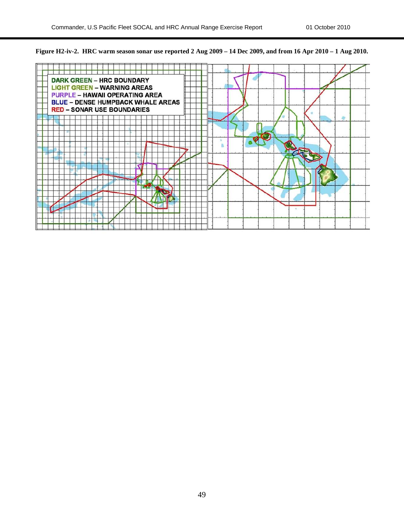

**Figure H2-iv-2. HRC warm season sonar use reported 2 Aug 2009 – 14 Dec 2009, and from 16 Apr 2010 – 1 Aug 2010.**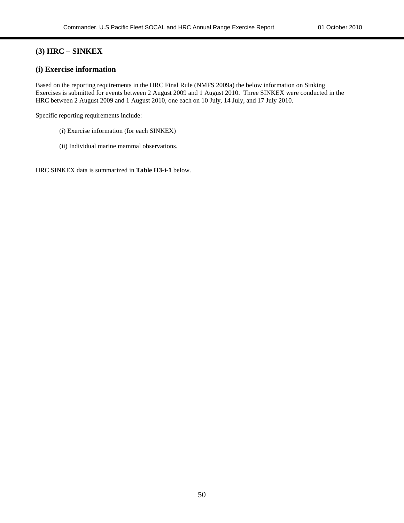#### **(3) HRC – SINKEX**

#### **(i) Exercise information**

Based on the reporting requirements in the HRC Final Rule (NMFS 2009a) the below information on Sinking Exercises is submitted for events between 2 August 2009 and 1 August 2010. Three SINKEX were conducted in the HRC between 2 August 2009 and 1 August 2010, one each on 10 July, 14 July, and 17 July 2010.

Specific reporting requirements include:

- (i) Exercise information (for each SINKEX)
- (ii) Individual marine mammal observations.

HRC SINKEX data is summarized in **Table H3-i-1** below.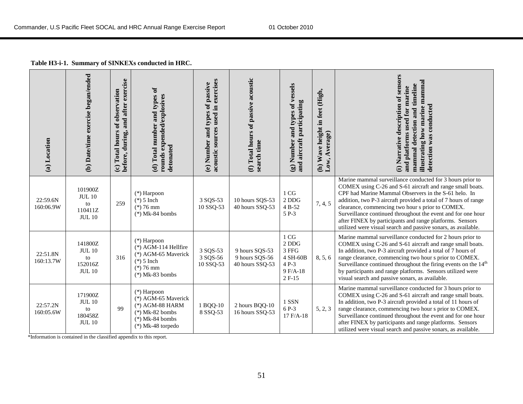| Table H3-i-1. Summary of SINKEXs conducted in HRC. |  |
|----------------------------------------------------|--|
|----------------------------------------------------|--|

| (a) Location          | (b) Date/time exercise began/ended                                                                                                 | and after exercise<br>(c) Total hours of observation<br>before, during, | (d) Total number and types of<br>rounds expended/explosives<br>detonated                                                   | acoustic sources used in exercises<br>types of passive<br>(e) Number and | (f) Total hours of passive acoustic<br>search time  | (g) Number and types of vessels<br>and aircraft participating                   | (h) Wave height in feet (High,<br>Low, Average) | (i) Narrative description of sensors<br>illustrating how marine mammal<br>mammal detection and timeline<br>and platforms used for marine<br>detection was conducted                                                                                                                                                                                                                                                                                                                                |
|-----------------------|------------------------------------------------------------------------------------------------------------------------------------|-------------------------------------------------------------------------|----------------------------------------------------------------------------------------------------------------------------|--------------------------------------------------------------------------|-----------------------------------------------------|---------------------------------------------------------------------------------|-------------------------------------------------|----------------------------------------------------------------------------------------------------------------------------------------------------------------------------------------------------------------------------------------------------------------------------------------------------------------------------------------------------------------------------------------------------------------------------------------------------------------------------------------------------|
| 22:59.6N<br>160:06.9W | 101900Z<br><b>JUL 10</b><br>to<br>110411Z<br><b>JUL 10</b>                                                                         | 259                                                                     | $(*)$ Harpoon<br>$(*)$ 5 Inch<br>$(*)76$ mm<br>$(*)$ Mk-84 bombs                                                           | 3 SQS-53<br>10 SSQ-53                                                    | 10 hours SQS-53<br>40 hours SSQ-53                  | 1 CG<br>2 DDG<br>4 B-52<br>5 P-3                                                | 7, 4, 5                                         | Marine mammal surveillance conducted for 3 hours prior to<br>COMEX using C-26 and S-61 aircraft and range small boats.<br>CPF had Marine Mammal Observers in the S-61 helo. In<br>addition, two P-3 aircraft provided a total of 7 hours of range<br>clearance, commencing two hour s prior to COMEX.<br>Surveillance continued throughout the event and for one hour<br>after FINEX by participants and range platforms. Sensors<br>utilized were visual search and passive sonars, as available. |
| 22:51.8N<br>160:13.7W | 141800Z<br><b>JUL 10</b><br>to<br>152016Z<br><b>JUL 10</b>                                                                         | 316                                                                     | $(*)$ Harpoon<br>$(*)$ AGM-114 Hellfire<br>(*) AGM-65 Maverick<br>$(*)$ 5 Inch<br>$(*)76$ mm<br>$(*)$ Mk-83 bombs          | 3 SQS-53<br>3 SQS-56<br>10 SSQ-53                                        | 9 hours SQS-53<br>9 hours SQS-56<br>40 hours SSQ-53 | $1\,\mathrm{CG}$<br>2 DDG<br>3 FFG<br>4 SH-60B<br>4 P-3<br>$9 F/A-18$<br>2 F-15 | 8, 5, 6                                         | Marine mammal surveillance conducted for 2 hours prior to<br>COMEX using C-26 and S-61 aircraft and range small boats.<br>In addition, two P-3 aircraft provided a total of 7 hours of<br>range clearance, commencing two hour s prior to COMEX.<br>Surveillance continued throughout the firing events on the 14 <sup>th</sup><br>by participants and range platforms. Sensors utilized were<br>visual search and passive sonars, as available.                                                   |
| 22:57.2N<br>160:05.6W | 171900Z<br><b>JUL 10</b><br>to<br>180458Z<br><b>JUL 10</b><br>*Information is contained in the classified appendix to this report. | 99                                                                      | $(*)$ Harpoon<br>(*) AGM-65 Maverick<br>$(*)$ AGM-88 HARM<br>$(*)$ Mk-82 bombs<br>$(*)$ Mk-84 bombs<br>$(*)$ Mk-48 torpedo | 1 BQQ-10<br>8 SSQ-53                                                     | 2 hours BQQ-10<br>16 hours SSQ-53                   | 1 SSN<br>6 P-3<br>17 F/A-18                                                     | 5, 2, 3                                         | Marine mammal surveillance conducted for 3 hours prior to<br>COMEX using C-26 and S-61 aircraft and range small boats.<br>In addition, two P-3 aircraft provided a total of 11 hours of<br>range clearance, commencing two hour s prior to COMEX.<br>Surveillance continued throughout the event and for one hour<br>after FINEX by participants and range platforms. Sensors<br>utilized were visual search and passive sonars, as available.                                                     |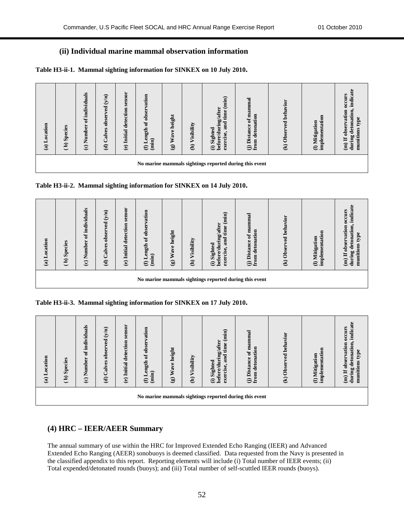#### **(ii) Individual marine mammal observation information**

**Table H3-ii-1. Mammal sighting information for SINKEX on 10 July 2010.**

| (a) Location | <b>Species</b><br>$\mathbf{a}$                         | individuals<br>đ<br>5<br>$(c)$ Numb | (y/n)<br>$\overline{\mathbf{g}}$<br>obser<br>Calves<br>$\widehat{\mathbf{c}}$ | sensor<br>(e) Initial detection | of observation<br>ength<br>(imin)<br>一<br>$\boldsymbol{\epsilon}$ | height<br>Wave <sup>1</sup><br>$\mathbf{G}$ | Visibility<br>$\widehat{a}$ | $\left( \min \right)$<br>ng/after<br>time<br>and<br><b>before/duri</b><br>Sighted<br>exercise,<br>$\widehat{\Xi}$ | of mammal<br>detonation<br><b>Distance</b><br>$\overline{f}$ Die from | ed behavior<br>$(k)$ Obser | $\overline{a}$<br>implementati<br>Mitigation<br>$\ominus$ | indicate<br>occurs<br>observation<br>detonation<br>type<br>munitions<br>during<br>Ħ<br>$\widehat{a}$ |
|--------------|--------------------------------------------------------|-------------------------------------|-------------------------------------------------------------------------------|---------------------------------|-------------------------------------------------------------------|---------------------------------------------|-----------------------------|-------------------------------------------------------------------------------------------------------------------|-----------------------------------------------------------------------|----------------------------|-----------------------------------------------------------|------------------------------------------------------------------------------------------------------|
|              | No marine mammals sightings reported during this event |                                     |                                                                               |                                 |                                                                   |                                             |                             |                                                                                                                   |                                                                       |                            |                                                           |                                                                                                      |



| (a) Location | Species<br>$\mathbf{a}$                                | individuals<br>ัธ<br>Number<br>$\ddot{\boldsymbol{c}}$ | (y/n)<br>$\mathbf{g}$<br>⋗<br>obser<br>Calves<br>$\widehat{\mathbf{c}}$ | Initial detection sensor<br>$\ddot{e}$ | of observation<br>ength<br>(imin)<br>$\blacksquare$<br>$\boldsymbol{\Theta}$ | height<br>Wave<br>$\textcircled{\scriptsize{s}}$ | Visibility<br>$\widehat{a}$ | (min)<br>before/during/after<br>time<br>and<br>Sighted<br>exercise<br>$\oplus$ | mammal<br>detonation<br>$\mathfrak{b}$<br><b>Distance</b><br>$\overline{m}$<br>Эă | (k) Observed behavior | $\overline{\mathbf{a}}$<br>implementati<br>Mitigation<br>$\ominus$ | indicate<br><b>occurs</b><br>observation<br>detonation<br>type<br>munitions<br>during<br>H<br>$\hat{a}$ |
|--------------|--------------------------------------------------------|--------------------------------------------------------|-------------------------------------------------------------------------|----------------------------------------|------------------------------------------------------------------------------|--------------------------------------------------|-----------------------------|--------------------------------------------------------------------------------|-----------------------------------------------------------------------------------|-----------------------|--------------------------------------------------------------------|---------------------------------------------------------------------------------------------------------|
|              | No marine mammals sightings reported during this event |                                                        |                                                                         |                                        |                                                                              |                                                  |                             |                                                                                |                                                                                   |                       |                                                                    |                                                                                                         |

**Table H3-ii-3. Mammal sighting information for SINKEX on 17 July 2010.**

| (a) Location | <b>Species</b><br>$\mathbf{a}$                         | individuals<br>$\mathbf{a}$<br>$(c)$ Number | (y/n)<br>ved<br>obser<br>Calves<br>$\widehat{\mathbf{d}}$ | sensor<br>(e) Initial detection | of observation<br>ength<br>(imin)<br>Н<br>$\boldsymbol{\epsilon}$ | height<br>Wave<br>$\mathbf{G}$ | Visibility<br>$\widehat{a}$ | (imin)<br>ng/after<br>time<br>and<br>before/duri<br>Sighted<br>exercise<br>$\oplus$ | mammal<br>detonation<br>$\mathfrak{a}$<br><b>Distance</b><br>$\mathbf{m}$<br>Θĕ | ed behavior<br>$(k)$ Obser | implementation<br>Mitigation<br>$\ominus$ | indicate<br>occurs<br>observation<br>detonation<br>type<br>$\sin$<br>during<br>muniti<br>H<br>$\widehat{a}$ |
|--------------|--------------------------------------------------------|---------------------------------------------|-----------------------------------------------------------|---------------------------------|-------------------------------------------------------------------|--------------------------------|-----------------------------|-------------------------------------------------------------------------------------|---------------------------------------------------------------------------------|----------------------------|-------------------------------------------|-------------------------------------------------------------------------------------------------------------|
|              | No marine mammals sightings reported during this event |                                             |                                                           |                                 |                                                                   |                                |                             |                                                                                     |                                                                                 |                            |                                           |                                                                                                             |

#### **(4) HRC – IEER/AEER Summary**

The annual summary of use within the HRC for Improved Extended Echo Ranging (IEER) and Advanced Extended Echo Ranging (AEER) sonobuoys is deemed classified. Data requested from the Navy is presented in the classified appendix to this report. Reporting elements will include (i) Total number of IEER events; (ii) Total expended/detonated rounds (buoys); and (iii) Total number of self-scuttled IEER rounds (buoys).